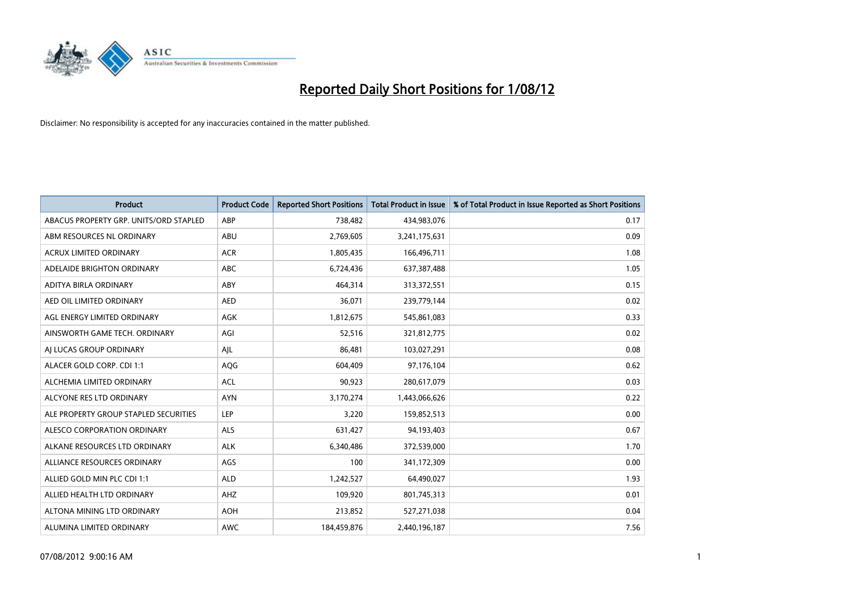

| <b>Product</b>                         | <b>Product Code</b> | <b>Reported Short Positions</b> | <b>Total Product in Issue</b> | % of Total Product in Issue Reported as Short Positions |
|----------------------------------------|---------------------|---------------------------------|-------------------------------|---------------------------------------------------------|
| ABACUS PROPERTY GRP. UNITS/ORD STAPLED | ABP                 | 738,482                         | 434,983,076                   | 0.17                                                    |
| ABM RESOURCES NL ORDINARY              | <b>ABU</b>          | 2,769,605                       | 3,241,175,631                 | 0.09                                                    |
| ACRUX LIMITED ORDINARY                 | <b>ACR</b>          | 1,805,435                       | 166,496,711                   | 1.08                                                    |
| ADELAIDE BRIGHTON ORDINARY             | <b>ABC</b>          | 6,724,436                       | 637,387,488                   | 1.05                                                    |
| ADITYA BIRLA ORDINARY                  | ABY                 | 464,314                         | 313,372,551                   | 0.15                                                    |
| AED OIL LIMITED ORDINARY               | <b>AED</b>          | 36,071                          | 239,779,144                   | 0.02                                                    |
| AGL ENERGY LIMITED ORDINARY            | AGK                 | 1,812,675                       | 545,861,083                   | 0.33                                                    |
| AINSWORTH GAME TECH. ORDINARY          | AGI                 | 52,516                          | 321,812,775                   | 0.02                                                    |
| AI LUCAS GROUP ORDINARY                | AJL                 | 86,481                          | 103,027,291                   | 0.08                                                    |
| ALACER GOLD CORP. CDI 1:1              | <b>AQG</b>          | 604,409                         | 97,176,104                    | 0.62                                                    |
| ALCHEMIA LIMITED ORDINARY              | <b>ACL</b>          | 90,923                          | 280,617,079                   | 0.03                                                    |
| ALCYONE RES LTD ORDINARY               | <b>AYN</b>          | 3,170,274                       | 1,443,066,626                 | 0.22                                                    |
| ALE PROPERTY GROUP STAPLED SECURITIES  | LEP                 | 3,220                           | 159,852,513                   | 0.00                                                    |
| ALESCO CORPORATION ORDINARY            | <b>ALS</b>          | 631,427                         | 94,193,403                    | 0.67                                                    |
| ALKANE RESOURCES LTD ORDINARY          | <b>ALK</b>          | 6,340,486                       | 372,539,000                   | 1.70                                                    |
| ALLIANCE RESOURCES ORDINARY            | AGS                 | 100                             | 341,172,309                   | 0.00                                                    |
| ALLIED GOLD MIN PLC CDI 1:1            | <b>ALD</b>          | 1,242,527                       | 64,490,027                    | 1.93                                                    |
| ALLIED HEALTH LTD ORDINARY             | AHZ                 | 109,920                         | 801,745,313                   | 0.01                                                    |
| ALTONA MINING LTD ORDINARY             | <b>AOH</b>          | 213,852                         | 527,271,038                   | 0.04                                                    |
| ALUMINA LIMITED ORDINARY               | <b>AWC</b>          | 184,459,876                     | 2,440,196,187                 | 7.56                                                    |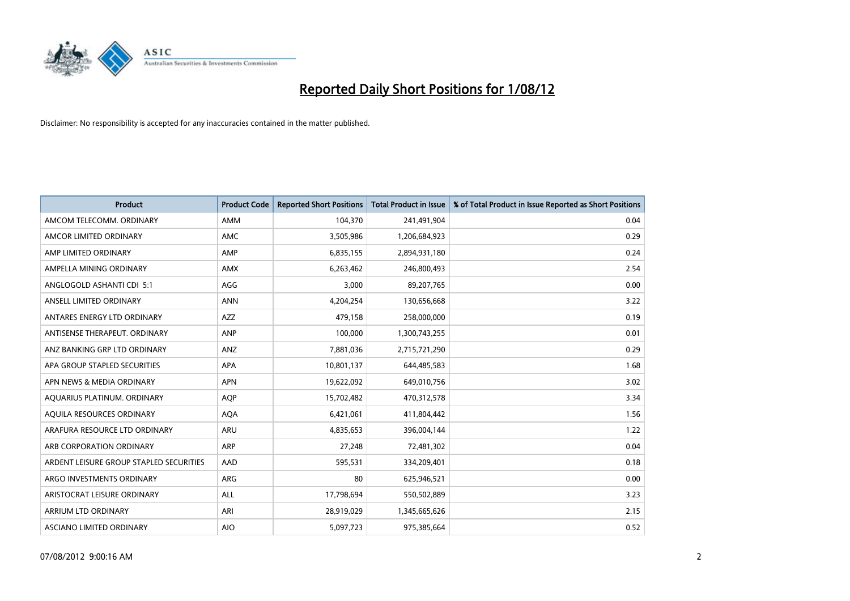

| <b>Product</b>                          | <b>Product Code</b> | <b>Reported Short Positions</b> | <b>Total Product in Issue</b> | % of Total Product in Issue Reported as Short Positions |
|-----------------------------------------|---------------------|---------------------------------|-------------------------------|---------------------------------------------------------|
| AMCOM TELECOMM. ORDINARY                | AMM                 | 104,370                         | 241,491,904                   | 0.04                                                    |
| AMCOR LIMITED ORDINARY                  | <b>AMC</b>          | 3,505,986                       | 1,206,684,923                 | 0.29                                                    |
| AMP LIMITED ORDINARY                    | AMP                 | 6,835,155                       | 2,894,931,180                 | 0.24                                                    |
| AMPELLA MINING ORDINARY                 | <b>AMX</b>          | 6,263,462                       | 246,800,493                   | 2.54                                                    |
| ANGLOGOLD ASHANTI CDI 5:1               | AGG                 | 3.000                           | 89,207,765                    | 0.00                                                    |
| ANSELL LIMITED ORDINARY                 | <b>ANN</b>          | 4,204,254                       | 130,656,668                   | 3.22                                                    |
| ANTARES ENERGY LTD ORDINARY             | AZZ                 | 479,158                         | 258,000,000                   | 0.19                                                    |
| ANTISENSE THERAPEUT, ORDINARY           | <b>ANP</b>          | 100,000                         | 1,300,743,255                 | 0.01                                                    |
| ANZ BANKING GRP LTD ORDINARY            | ANZ                 | 7,881,036                       | 2,715,721,290                 | 0.29                                                    |
| APA GROUP STAPLED SECURITIES            | <b>APA</b>          | 10,801,137                      | 644,485,583                   | 1.68                                                    |
| APN NEWS & MEDIA ORDINARY               | <b>APN</b>          | 19,622,092                      | 649,010,756                   | 3.02                                                    |
| AQUARIUS PLATINUM. ORDINARY             | <b>AOP</b>          | 15,702,482                      | 470,312,578                   | 3.34                                                    |
| AQUILA RESOURCES ORDINARY               | <b>AQA</b>          | 6,421,061                       | 411,804,442                   | 1.56                                                    |
| ARAFURA RESOURCE LTD ORDINARY           | ARU                 | 4,835,653                       | 396,004,144                   | 1.22                                                    |
| ARB CORPORATION ORDINARY                | <b>ARP</b>          | 27,248                          | 72,481,302                    | 0.04                                                    |
| ARDENT LEISURE GROUP STAPLED SECURITIES | AAD                 | 595,531                         | 334,209,401                   | 0.18                                                    |
| ARGO INVESTMENTS ORDINARY               | ARG                 | 80                              | 625,946,521                   | 0.00                                                    |
| ARISTOCRAT LEISURE ORDINARY             | <b>ALL</b>          | 17,798,694                      | 550,502,889                   | 3.23                                                    |
| <b>ARRIUM LTD ORDINARY</b>              | ARI                 | 28,919,029                      | 1,345,665,626                 | 2.15                                                    |
| ASCIANO LIMITED ORDINARY                | <b>AIO</b>          | 5,097,723                       | 975,385,664                   | 0.52                                                    |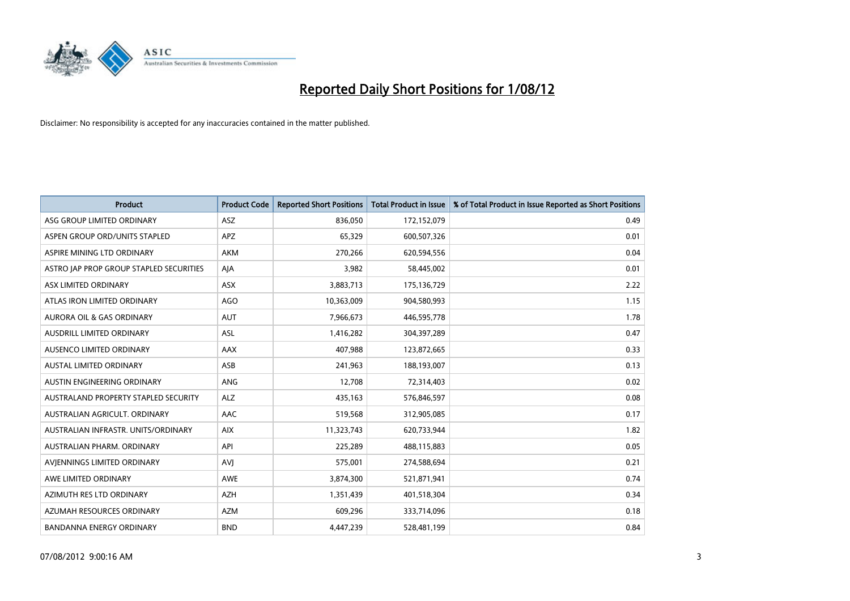

| <b>Product</b>                          | <b>Product Code</b> | <b>Reported Short Positions</b> | <b>Total Product in Issue</b> | % of Total Product in Issue Reported as Short Positions |
|-----------------------------------------|---------------------|---------------------------------|-------------------------------|---------------------------------------------------------|
| ASG GROUP LIMITED ORDINARY              | <b>ASZ</b>          | 836.050                         | 172,152,079                   | 0.49                                                    |
| ASPEN GROUP ORD/UNITS STAPLED           | <b>APZ</b>          | 65,329                          | 600,507,326                   | 0.01                                                    |
| ASPIRE MINING LTD ORDINARY              | <b>AKM</b>          | 270,266                         | 620,594,556                   | 0.04                                                    |
| ASTRO JAP PROP GROUP STAPLED SECURITIES | AJA                 | 3,982                           | 58,445,002                    | 0.01                                                    |
| ASX LIMITED ORDINARY                    | <b>ASX</b>          | 3,883,713                       | 175,136,729                   | 2.22                                                    |
| ATLAS IRON LIMITED ORDINARY             | <b>AGO</b>          | 10,363,009                      | 904,580,993                   | 1.15                                                    |
| AURORA OIL & GAS ORDINARY               | <b>AUT</b>          | 7,966,673                       | 446,595,778                   | 1.78                                                    |
| <b>AUSDRILL LIMITED ORDINARY</b>        | <b>ASL</b>          | 1,416,282                       | 304,397,289                   | 0.47                                                    |
| AUSENCO LIMITED ORDINARY                | AAX                 | 407,988                         | 123,872,665                   | 0.33                                                    |
| <b>AUSTAL LIMITED ORDINARY</b>          | ASB                 | 241,963                         | 188,193,007                   | 0.13                                                    |
| AUSTIN ENGINEERING ORDINARY             | ANG                 | 12,708                          | 72,314,403                    | 0.02                                                    |
| AUSTRALAND PROPERTY STAPLED SECURITY    | <b>ALZ</b>          | 435,163                         | 576,846,597                   | 0.08                                                    |
| AUSTRALIAN AGRICULT, ORDINARY           | <b>AAC</b>          | 519,568                         | 312,905,085                   | 0.17                                                    |
| AUSTRALIAN INFRASTR, UNITS/ORDINARY     | <b>AIX</b>          | 11,323,743                      | 620,733,944                   | 1.82                                                    |
| AUSTRALIAN PHARM, ORDINARY              | API                 | 225,289                         | 488,115,883                   | 0.05                                                    |
| AVJENNINGS LIMITED ORDINARY             | AVJ                 | 575,001                         | 274,588,694                   | 0.21                                                    |
| AWE LIMITED ORDINARY                    | AWE                 | 3,874,300                       | 521,871,941                   | 0.74                                                    |
| AZIMUTH RES LTD ORDINARY                | <b>AZH</b>          | 1,351,439                       | 401,518,304                   | 0.34                                                    |
| AZUMAH RESOURCES ORDINARY               | <b>AZM</b>          | 609,296                         | 333,714,096                   | 0.18                                                    |
| <b>BANDANNA ENERGY ORDINARY</b>         | <b>BND</b>          | 4,447,239                       | 528,481,199                   | 0.84                                                    |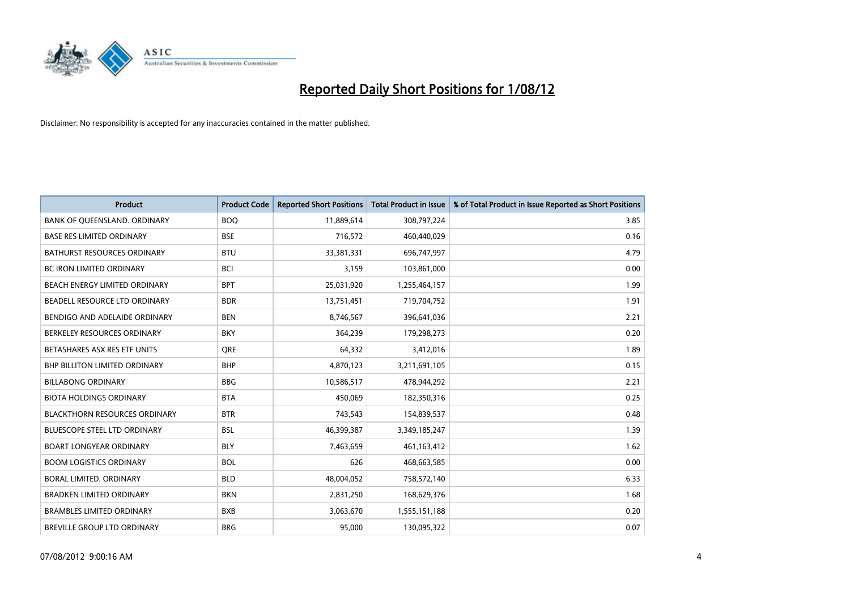

| <b>Product</b>                       | <b>Product Code</b> | <b>Reported Short Positions</b> | <b>Total Product in Issue</b> | % of Total Product in Issue Reported as Short Positions |
|--------------------------------------|---------------------|---------------------------------|-------------------------------|---------------------------------------------------------|
| BANK OF QUEENSLAND. ORDINARY         | <b>BOQ</b>          | 11,889,614                      | 308,797,224                   | 3.85                                                    |
| <b>BASE RES LIMITED ORDINARY</b>     | <b>BSE</b>          | 716,572                         | 460,440,029                   | 0.16                                                    |
| <b>BATHURST RESOURCES ORDINARY</b>   | <b>BTU</b>          | 33,381,331                      | 696,747,997                   | 4.79                                                    |
| <b>BC IRON LIMITED ORDINARY</b>      | <b>BCI</b>          | 3,159                           | 103,861,000                   | 0.00                                                    |
| BEACH ENERGY LIMITED ORDINARY        | <b>BPT</b>          | 25,031,920                      | 1,255,464,157                 | 1.99                                                    |
| BEADELL RESOURCE LTD ORDINARY        | <b>BDR</b>          | 13,751,451                      | 719,704,752                   | 1.91                                                    |
| BENDIGO AND ADELAIDE ORDINARY        | <b>BEN</b>          | 8,746,567                       | 396,641,036                   | 2.21                                                    |
| BERKELEY RESOURCES ORDINARY          | <b>BKY</b>          | 364,239                         | 179,298,273                   | 0.20                                                    |
| BETASHARES ASX RES ETF UNITS         | <b>ORE</b>          | 64,332                          | 3,412,016                     | 1.89                                                    |
| <b>BHP BILLITON LIMITED ORDINARY</b> | <b>BHP</b>          | 4,870,123                       | 3,211,691,105                 | 0.15                                                    |
| <b>BILLABONG ORDINARY</b>            | <b>BBG</b>          | 10,586,517                      | 478,944,292                   | 2.21                                                    |
| <b>BIOTA HOLDINGS ORDINARY</b>       | <b>BTA</b>          | 450,069                         | 182,350,316                   | 0.25                                                    |
| <b>BLACKTHORN RESOURCES ORDINARY</b> | <b>BTR</b>          | 743,543                         | 154,839,537                   | 0.48                                                    |
| <b>BLUESCOPE STEEL LTD ORDINARY</b>  | <b>BSL</b>          | 46,399,387                      | 3,349,185,247                 | 1.39                                                    |
| <b>BOART LONGYEAR ORDINARY</b>       | <b>BLY</b>          | 7,463,659                       | 461,163,412                   | 1.62                                                    |
| <b>BOOM LOGISTICS ORDINARY</b>       | <b>BOL</b>          | 626                             | 468,663,585                   | 0.00                                                    |
| BORAL LIMITED, ORDINARY              | <b>BLD</b>          | 48,004,052                      | 758,572,140                   | 6.33                                                    |
| <b>BRADKEN LIMITED ORDINARY</b>      | <b>BKN</b>          | 2,831,250                       | 168,629,376                   | 1.68                                                    |
| <b>BRAMBLES LIMITED ORDINARY</b>     | <b>BXB</b>          | 3,063,670                       | 1,555,151,188                 | 0.20                                                    |
| BREVILLE GROUP LTD ORDINARY          | <b>BRG</b>          | 95,000                          | 130,095,322                   | 0.07                                                    |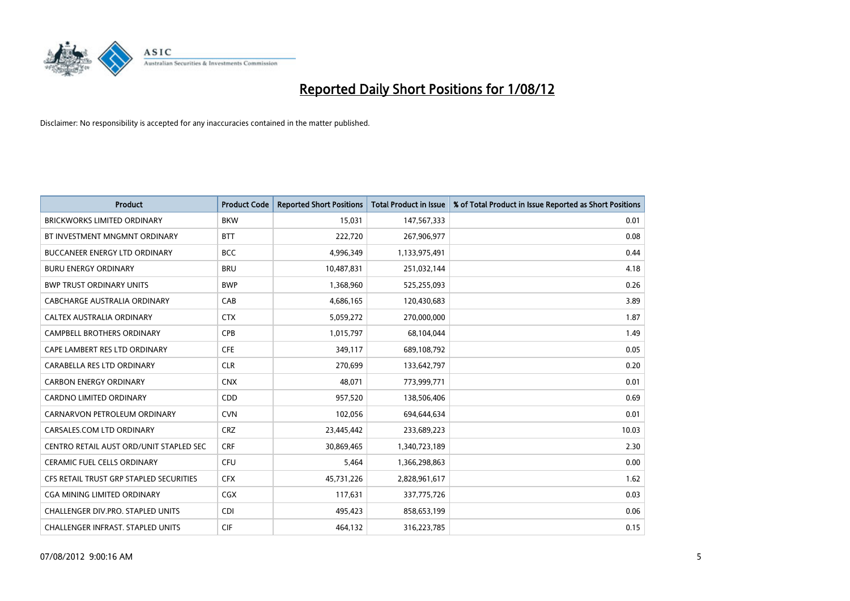

| <b>Product</b>                          | <b>Product Code</b> | <b>Reported Short Positions</b> | <b>Total Product in Issue</b> | % of Total Product in Issue Reported as Short Positions |
|-----------------------------------------|---------------------|---------------------------------|-------------------------------|---------------------------------------------------------|
| <b>BRICKWORKS LIMITED ORDINARY</b>      | <b>BKW</b>          | 15,031                          | 147,567,333                   | 0.01                                                    |
| BT INVESTMENT MNGMNT ORDINARY           | <b>BTT</b>          | 222,720                         | 267,906,977                   | 0.08                                                    |
| <b>BUCCANEER ENERGY LTD ORDINARY</b>    | <b>BCC</b>          | 4,996,349                       | 1,133,975,491                 | 0.44                                                    |
| <b>BURU ENERGY ORDINARY</b>             | <b>BRU</b>          | 10,487,831                      | 251,032,144                   | 4.18                                                    |
| <b>BWP TRUST ORDINARY UNITS</b>         | <b>BWP</b>          | 1,368,960                       | 525,255,093                   | 0.26                                                    |
| CABCHARGE AUSTRALIA ORDINARY            | CAB                 | 4,686,165                       | 120,430,683                   | 3.89                                                    |
| CALTEX AUSTRALIA ORDINARY               | <b>CTX</b>          | 5,059,272                       | 270,000,000                   | 1.87                                                    |
| <b>CAMPBELL BROTHERS ORDINARY</b>       | <b>CPB</b>          | 1,015,797                       | 68,104,044                    | 1.49                                                    |
| CAPE LAMBERT RES LTD ORDINARY           | <b>CFE</b>          | 349,117                         | 689,108,792                   | 0.05                                                    |
| CARABELLA RES LTD ORDINARY              | <b>CLR</b>          | 270,699                         | 133,642,797                   | 0.20                                                    |
| <b>CARBON ENERGY ORDINARY</b>           | <b>CNX</b>          | 48,071                          | 773,999,771                   | 0.01                                                    |
| <b>CARDNO LIMITED ORDINARY</b>          | CDD                 | 957,520                         | 138,506,406                   | 0.69                                                    |
| CARNARVON PETROLEUM ORDINARY            | <b>CVN</b>          | 102,056                         | 694,644,634                   | 0.01                                                    |
| CARSALES.COM LTD ORDINARY               | <b>CRZ</b>          | 23,445,442                      | 233,689,223                   | 10.03                                                   |
| CENTRO RETAIL AUST ORD/UNIT STAPLED SEC | <b>CRF</b>          | 30,869,465                      | 1,340,723,189                 | 2.30                                                    |
| <b>CERAMIC FUEL CELLS ORDINARY</b>      | <b>CFU</b>          | 5,464                           | 1,366,298,863                 | 0.00                                                    |
| CFS RETAIL TRUST GRP STAPLED SECURITIES | <b>CFX</b>          | 45,731,226                      | 2,828,961,617                 | 1.62                                                    |
| <b>CGA MINING LIMITED ORDINARY</b>      | <b>CGX</b>          | 117,631                         | 337,775,726                   | 0.03                                                    |
| CHALLENGER DIV.PRO. STAPLED UNITS       | <b>CDI</b>          | 495,423                         | 858,653,199                   | 0.06                                                    |
| CHALLENGER INFRAST. STAPLED UNITS       | <b>CIF</b>          | 464,132                         | 316,223,785                   | 0.15                                                    |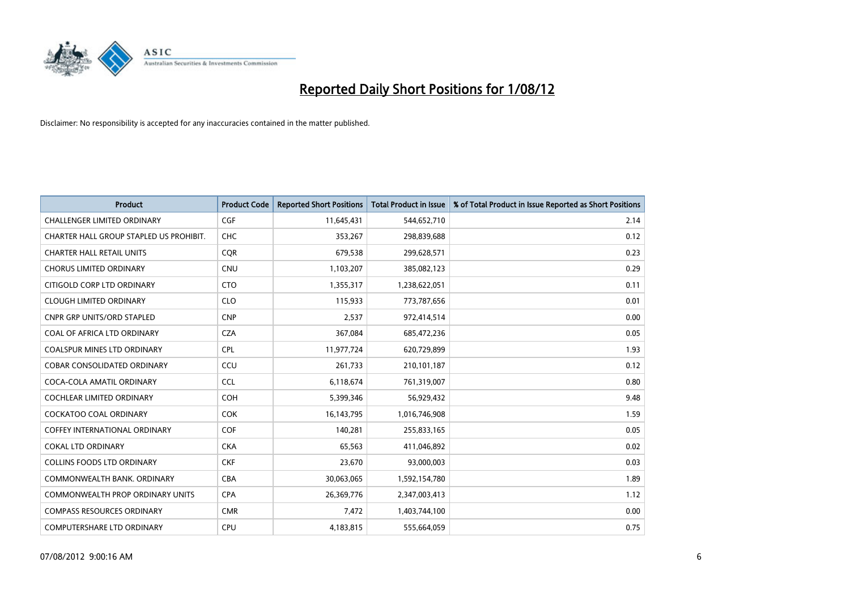

| <b>Product</b>                          | <b>Product Code</b> | <b>Reported Short Positions</b> | <b>Total Product in Issue</b> | % of Total Product in Issue Reported as Short Positions |
|-----------------------------------------|---------------------|---------------------------------|-------------------------------|---------------------------------------------------------|
| <b>CHALLENGER LIMITED ORDINARY</b>      | <b>CGF</b>          | 11,645,431                      | 544,652,710                   | 2.14                                                    |
| CHARTER HALL GROUP STAPLED US PROHIBIT. | <b>CHC</b>          | 353,267                         | 298,839,688                   | 0.12                                                    |
| <b>CHARTER HALL RETAIL UNITS</b>        | <b>COR</b>          | 679,538                         | 299,628,571                   | 0.23                                                    |
| <b>CHORUS LIMITED ORDINARY</b>          | <b>CNU</b>          | 1,103,207                       | 385,082,123                   | 0.29                                                    |
| CITIGOLD CORP LTD ORDINARY              | <b>CTO</b>          | 1,355,317                       | 1,238,622,051                 | 0.11                                                    |
| <b>CLOUGH LIMITED ORDINARY</b>          | <b>CLO</b>          | 115,933                         | 773,787,656                   | 0.01                                                    |
| <b>CNPR GRP UNITS/ORD STAPLED</b>       | <b>CNP</b>          | 2,537                           | 972,414,514                   | 0.00                                                    |
| COAL OF AFRICA LTD ORDINARY             | <b>CZA</b>          | 367,084                         | 685,472,236                   | 0.05                                                    |
| COALSPUR MINES LTD ORDINARY             | <b>CPL</b>          | 11,977,724                      | 620,729,899                   | 1.93                                                    |
| <b>COBAR CONSOLIDATED ORDINARY</b>      | CCU                 | 261,733                         | 210,101,187                   | 0.12                                                    |
| COCA-COLA AMATIL ORDINARY               | <b>CCL</b>          | 6,118,674                       | 761,319,007                   | 0.80                                                    |
| COCHLEAR LIMITED ORDINARY               | <b>COH</b>          | 5,399,346                       | 56,929,432                    | 9.48                                                    |
| <b>COCKATOO COAL ORDINARY</b>           | <b>COK</b>          | 16,143,795                      | 1,016,746,908                 | 1.59                                                    |
| <b>COFFEY INTERNATIONAL ORDINARY</b>    | <b>COF</b>          | 140.281                         | 255,833,165                   | 0.05                                                    |
| <b>COKAL LTD ORDINARY</b>               | <b>CKA</b>          | 65,563                          | 411,046,892                   | 0.02                                                    |
| <b>COLLINS FOODS LTD ORDINARY</b>       | <b>CKF</b>          | 23,670                          | 93,000,003                    | 0.03                                                    |
| COMMONWEALTH BANK, ORDINARY             | <b>CBA</b>          | 30,063,065                      | 1,592,154,780                 | 1.89                                                    |
| COMMONWEALTH PROP ORDINARY UNITS        | <b>CPA</b>          | 26,369,776                      | 2,347,003,413                 | 1.12                                                    |
| <b>COMPASS RESOURCES ORDINARY</b>       | <b>CMR</b>          | 7,472                           | 1,403,744,100                 | 0.00                                                    |
| COMPUTERSHARE LTD ORDINARY              | <b>CPU</b>          | 4,183,815                       | 555,664,059                   | 0.75                                                    |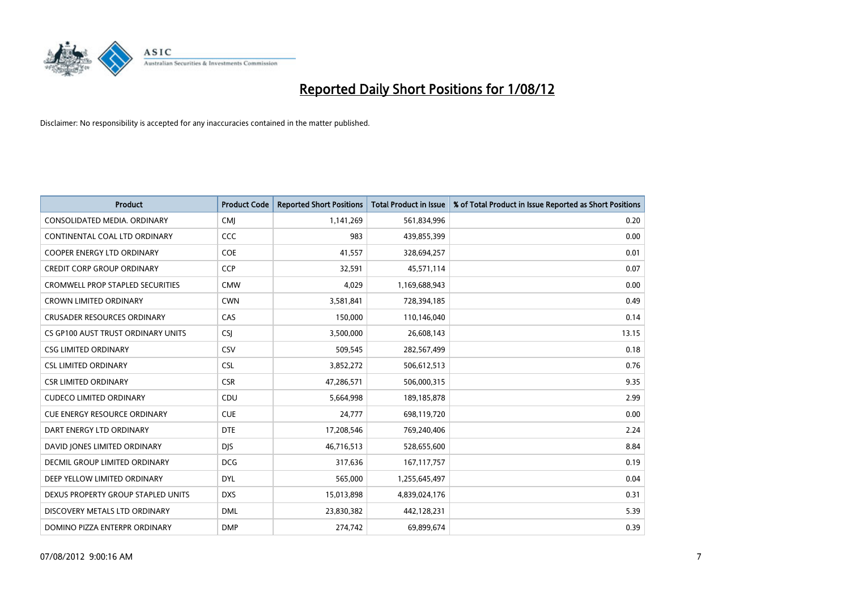

| <b>Product</b>                          | <b>Product Code</b> | <b>Reported Short Positions</b> | <b>Total Product in Issue</b> | % of Total Product in Issue Reported as Short Positions |
|-----------------------------------------|---------------------|---------------------------------|-------------------------------|---------------------------------------------------------|
| CONSOLIDATED MEDIA, ORDINARY            | <b>CMI</b>          | 1,141,269                       | 561,834,996                   | 0.20                                                    |
| CONTINENTAL COAL LTD ORDINARY           | CCC                 | 983                             | 439,855,399                   | 0.00                                                    |
| <b>COOPER ENERGY LTD ORDINARY</b>       | <b>COE</b>          | 41,557                          | 328,694,257                   | 0.01                                                    |
| <b>CREDIT CORP GROUP ORDINARY</b>       | <b>CCP</b>          | 32,591                          | 45,571,114                    | 0.07                                                    |
| <b>CROMWELL PROP STAPLED SECURITIES</b> | <b>CMW</b>          | 4,029                           | 1,169,688,943                 | 0.00                                                    |
| <b>CROWN LIMITED ORDINARY</b>           | <b>CWN</b>          | 3,581,841                       | 728,394,185                   | 0.49                                                    |
| <b>CRUSADER RESOURCES ORDINARY</b>      | CAS                 | 150,000                         | 110,146,040                   | 0.14                                                    |
| CS GP100 AUST TRUST ORDINARY UNITS      | <b>CSI</b>          | 3,500,000                       | 26,608,143                    | 13.15                                                   |
| <b>CSG LIMITED ORDINARY</b>             | CSV                 | 509,545                         | 282,567,499                   | 0.18                                                    |
| <b>CSL LIMITED ORDINARY</b>             | <b>CSL</b>          | 3,852,272                       | 506,612,513                   | 0.76                                                    |
| <b>CSR LIMITED ORDINARY</b>             | <b>CSR</b>          | 47,286,571                      | 506,000,315                   | 9.35                                                    |
| <b>CUDECO LIMITED ORDINARY</b>          | CDU                 | 5,664,998                       | 189, 185, 878                 | 2.99                                                    |
| <b>CUE ENERGY RESOURCE ORDINARY</b>     | <b>CUE</b>          | 24,777                          | 698,119,720                   | 0.00                                                    |
| DART ENERGY LTD ORDINARY                | <b>DTE</b>          | 17,208,546                      | 769,240,406                   | 2.24                                                    |
| DAVID JONES LIMITED ORDINARY            | <b>DIS</b>          | 46,716,513                      | 528,655,600                   | 8.84                                                    |
| DECMIL GROUP LIMITED ORDINARY           | <b>DCG</b>          | 317,636                         | 167, 117, 757                 | 0.19                                                    |
| DEEP YELLOW LIMITED ORDINARY            | <b>DYL</b>          | 565,000                         | 1,255,645,497                 | 0.04                                                    |
| DEXUS PROPERTY GROUP STAPLED UNITS      | <b>DXS</b>          | 15,013,898                      | 4,839,024,176                 | 0.31                                                    |
| DISCOVERY METALS LTD ORDINARY           | <b>DML</b>          | 23,830,382                      | 442,128,231                   | 5.39                                                    |
| DOMINO PIZZA ENTERPR ORDINARY           | <b>DMP</b>          | 274,742                         | 69,899,674                    | 0.39                                                    |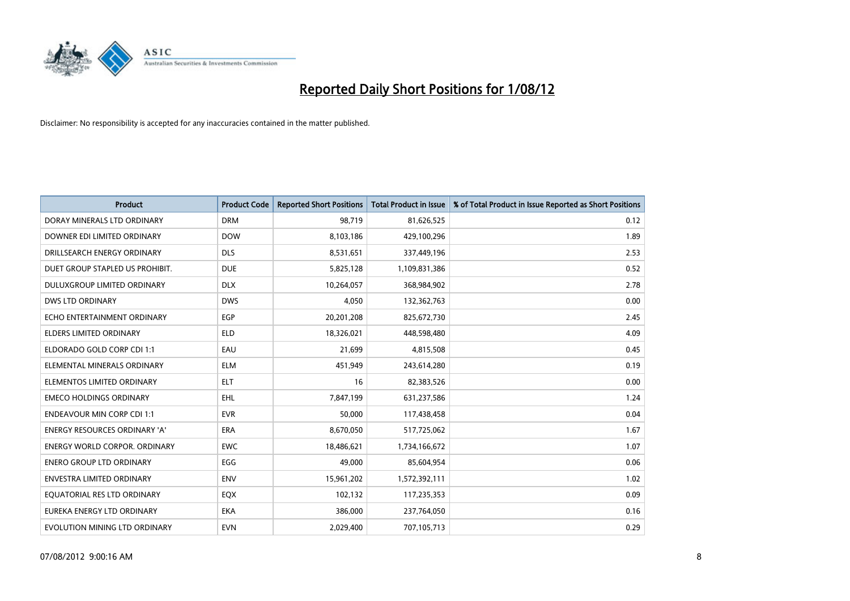

| <b>Product</b>                       | <b>Product Code</b> | <b>Reported Short Positions</b> | <b>Total Product in Issue</b> | % of Total Product in Issue Reported as Short Positions |
|--------------------------------------|---------------------|---------------------------------|-------------------------------|---------------------------------------------------------|
| DORAY MINERALS LTD ORDINARY          | <b>DRM</b>          | 98,719                          | 81,626,525                    | 0.12                                                    |
| DOWNER EDI LIMITED ORDINARY          | <b>DOW</b>          | 8,103,186                       | 429,100,296                   | 1.89                                                    |
| DRILLSEARCH ENERGY ORDINARY          | <b>DLS</b>          | 8,531,651                       | 337,449,196                   | 2.53                                                    |
| DUET GROUP STAPLED US PROHIBIT.      | <b>DUE</b>          | 5,825,128                       | 1,109,831,386                 | 0.52                                                    |
| <b>DULUXGROUP LIMITED ORDINARY</b>   | <b>DLX</b>          | 10,264,057                      | 368,984,902                   | 2.78                                                    |
| <b>DWS LTD ORDINARY</b>              | <b>DWS</b>          | 4,050                           | 132,362,763                   | 0.00                                                    |
| ECHO ENTERTAINMENT ORDINARY          | <b>EGP</b>          | 20,201,208                      | 825,672,730                   | 2.45                                                    |
| ELDERS LIMITED ORDINARY              | <b>ELD</b>          | 18,326,021                      | 448,598,480                   | 4.09                                                    |
| ELDORADO GOLD CORP CDI 1:1           | EAU                 | 21,699                          | 4,815,508                     | 0.45                                                    |
| ELEMENTAL MINERALS ORDINARY          | <b>ELM</b>          | 451,949                         | 243,614,280                   | 0.19                                                    |
| ELEMENTOS LIMITED ORDINARY           | <b>ELT</b>          | 16                              | 82,383,526                    | 0.00                                                    |
| <b>EMECO HOLDINGS ORDINARY</b>       | <b>EHL</b>          | 7,847,199                       | 631,237,586                   | 1.24                                                    |
| <b>ENDEAVOUR MIN CORP CDI 1:1</b>    | <b>EVR</b>          | 50,000                          | 117,438,458                   | 0.04                                                    |
| ENERGY RESOURCES ORDINARY 'A'        | <b>ERA</b>          | 8,670,050                       | 517,725,062                   | 1.67                                                    |
| <b>ENERGY WORLD CORPOR, ORDINARY</b> | <b>EWC</b>          | 18,486,621                      | 1,734,166,672                 | 1.07                                                    |
| <b>ENERO GROUP LTD ORDINARY</b>      | EGG                 | 49,000                          | 85,604,954                    | 0.06                                                    |
| ENVESTRA LIMITED ORDINARY            | <b>ENV</b>          | 15,961,202                      | 1,572,392,111                 | 1.02                                                    |
| EQUATORIAL RES LTD ORDINARY          | EQX                 | 102,132                         | 117,235,353                   | 0.09                                                    |
| EUREKA ENERGY LTD ORDINARY           | <b>EKA</b>          | 386,000                         | 237,764,050                   | 0.16                                                    |
| EVOLUTION MINING LTD ORDINARY        | <b>EVN</b>          | 2,029,400                       | 707,105,713                   | 0.29                                                    |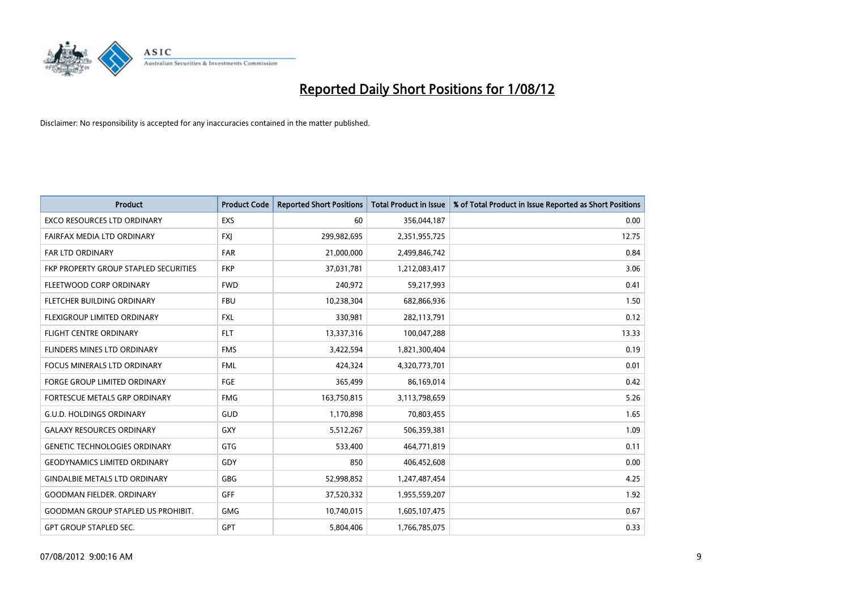

| <b>Product</b>                            | <b>Product Code</b> | <b>Reported Short Positions</b> | <b>Total Product in Issue</b> | % of Total Product in Issue Reported as Short Positions |
|-------------------------------------------|---------------------|---------------------------------|-------------------------------|---------------------------------------------------------|
| <b>EXCO RESOURCES LTD ORDINARY</b>        | <b>EXS</b>          | 60                              | 356,044,187                   | 0.00                                                    |
| FAIRFAX MEDIA LTD ORDINARY                | <b>FXI</b>          | 299,982,695                     | 2,351,955,725                 | 12.75                                                   |
| <b>FAR LTD ORDINARY</b>                   | <b>FAR</b>          | 21,000,000                      | 2,499,846,742                 | 0.84                                                    |
| FKP PROPERTY GROUP STAPLED SECURITIES     | <b>FKP</b>          | 37,031,781                      | 1,212,083,417                 | 3.06                                                    |
| FLEETWOOD CORP ORDINARY                   | <b>FWD</b>          | 240,972                         | 59,217,993                    | 0.41                                                    |
| FLETCHER BUILDING ORDINARY                | <b>FBU</b>          | 10,238,304                      | 682,866,936                   | 1.50                                                    |
| FLEXIGROUP LIMITED ORDINARY               | <b>FXL</b>          | 330,981                         | 282,113,791                   | 0.12                                                    |
| FLIGHT CENTRE ORDINARY                    | <b>FLT</b>          | 13,337,316                      | 100,047,288                   | 13.33                                                   |
| FLINDERS MINES LTD ORDINARY               | <b>FMS</b>          | 3,422,594                       | 1,821,300,404                 | 0.19                                                    |
| <b>FOCUS MINERALS LTD ORDINARY</b>        | <b>FML</b>          | 424,324                         | 4,320,773,701                 | 0.01                                                    |
| FORGE GROUP LIMITED ORDINARY              | FGE                 | 365,499                         | 86,169,014                    | 0.42                                                    |
| <b>FORTESCUE METALS GRP ORDINARY</b>      | <b>FMG</b>          | 163,750,815                     | 3,113,798,659                 | 5.26                                                    |
| <b>G.U.D. HOLDINGS ORDINARY</b>           | GUD                 | 1,170,898                       | 70,803,455                    | 1.65                                                    |
| <b>GALAXY RESOURCES ORDINARY</b>          | GXY                 | 5,512,267                       | 506,359,381                   | 1.09                                                    |
| <b>GENETIC TECHNOLOGIES ORDINARY</b>      | <b>GTG</b>          | 533,400                         | 464,771,819                   | 0.11                                                    |
| <b>GEODYNAMICS LIMITED ORDINARY</b>       | GDY                 | 850                             | 406,452,608                   | 0.00                                                    |
| <b>GINDALBIE METALS LTD ORDINARY</b>      | GBG                 | 52,998,852                      | 1,247,487,454                 | 4.25                                                    |
| <b>GOODMAN FIELDER. ORDINARY</b>          | <b>GFF</b>          | 37,520,332                      | 1,955,559,207                 | 1.92                                                    |
| <b>GOODMAN GROUP STAPLED US PROHIBIT.</b> | <b>GMG</b>          | 10,740,015                      | 1,605,107,475                 | 0.67                                                    |
| <b>GPT GROUP STAPLED SEC.</b>             | <b>GPT</b>          | 5,804,406                       | 1,766,785,075                 | 0.33                                                    |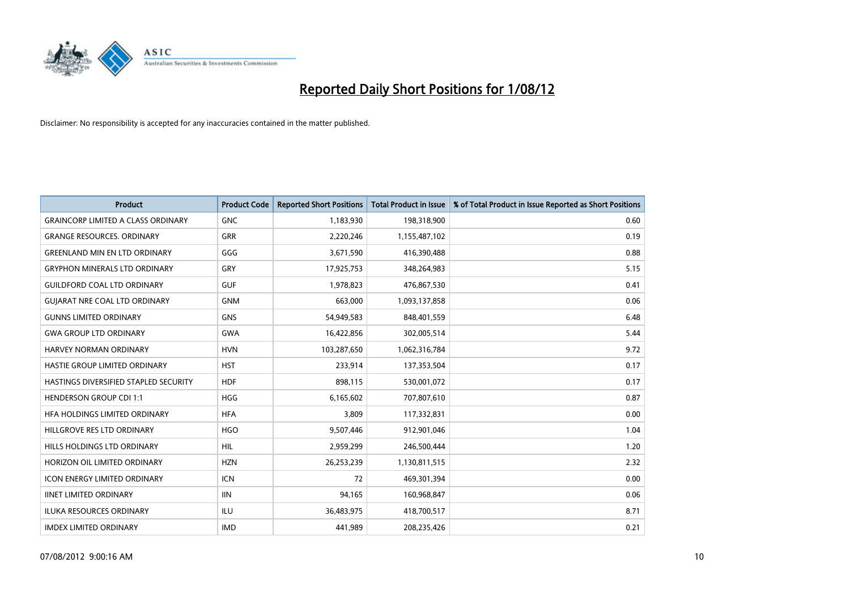

| <b>Product</b>                            | <b>Product Code</b> | <b>Reported Short Positions</b> | <b>Total Product in Issue</b> | % of Total Product in Issue Reported as Short Positions |
|-------------------------------------------|---------------------|---------------------------------|-------------------------------|---------------------------------------------------------|
| <b>GRAINCORP LIMITED A CLASS ORDINARY</b> | <b>GNC</b>          | 1,183,930                       | 198,318,900                   | 0.60                                                    |
| <b>GRANGE RESOURCES. ORDINARY</b>         | <b>GRR</b>          | 2,220,246                       | 1,155,487,102                 | 0.19                                                    |
| <b>GREENLAND MIN EN LTD ORDINARY</b>      | GGG                 | 3,671,590                       | 416,390,488                   | 0.88                                                    |
| <b>GRYPHON MINERALS LTD ORDINARY</b>      | GRY                 | 17,925,753                      | 348,264,983                   | 5.15                                                    |
| <b>GUILDFORD COAL LTD ORDINARY</b>        | <b>GUF</b>          | 1,978,823                       | 476,867,530                   | 0.41                                                    |
| <b>GUIARAT NRE COAL LTD ORDINARY</b>      | <b>GNM</b>          | 663,000                         | 1,093,137,858                 | 0.06                                                    |
| <b>GUNNS LIMITED ORDINARY</b>             | <b>GNS</b>          | 54,949,583                      | 848,401,559                   | 6.48                                                    |
| <b>GWA GROUP LTD ORDINARY</b>             | <b>GWA</b>          | 16,422,856                      | 302,005,514                   | 5.44                                                    |
| <b>HARVEY NORMAN ORDINARY</b>             | <b>HVN</b>          | 103,287,650                     | 1,062,316,784                 | 9.72                                                    |
| HASTIE GROUP LIMITED ORDINARY             | <b>HST</b>          | 233,914                         | 137,353,504                   | 0.17                                                    |
| HASTINGS DIVERSIFIED STAPLED SECURITY     | <b>HDF</b>          | 898,115                         | 530,001,072                   | 0.17                                                    |
| <b>HENDERSON GROUP CDI 1:1</b>            | <b>HGG</b>          | 6,165,602                       | 707,807,610                   | 0.87                                                    |
| HFA HOLDINGS LIMITED ORDINARY             | <b>HFA</b>          | 3,809                           | 117,332,831                   | 0.00                                                    |
| HILLGROVE RES LTD ORDINARY                | <b>HGO</b>          | 9,507,446                       | 912,901,046                   | 1.04                                                    |
| <b>HILLS HOLDINGS LTD ORDINARY</b>        | <b>HIL</b>          | 2,959,299                       | 246,500,444                   | 1.20                                                    |
| HORIZON OIL LIMITED ORDINARY              | <b>HZN</b>          | 26,253,239                      | 1,130,811,515                 | 2.32                                                    |
| ICON ENERGY LIMITED ORDINARY              | <b>ICN</b>          | 72                              | 469,301,394                   | 0.00                                                    |
| <b>IINET LIMITED ORDINARY</b>             | <b>IIN</b>          | 94,165                          | 160,968,847                   | 0.06                                                    |
| <b>ILUKA RESOURCES ORDINARY</b>           | ILU                 | 36,483,975                      | 418,700,517                   | 8.71                                                    |
| <b>IMDEX LIMITED ORDINARY</b>             | <b>IMD</b>          | 441,989                         | 208,235,426                   | 0.21                                                    |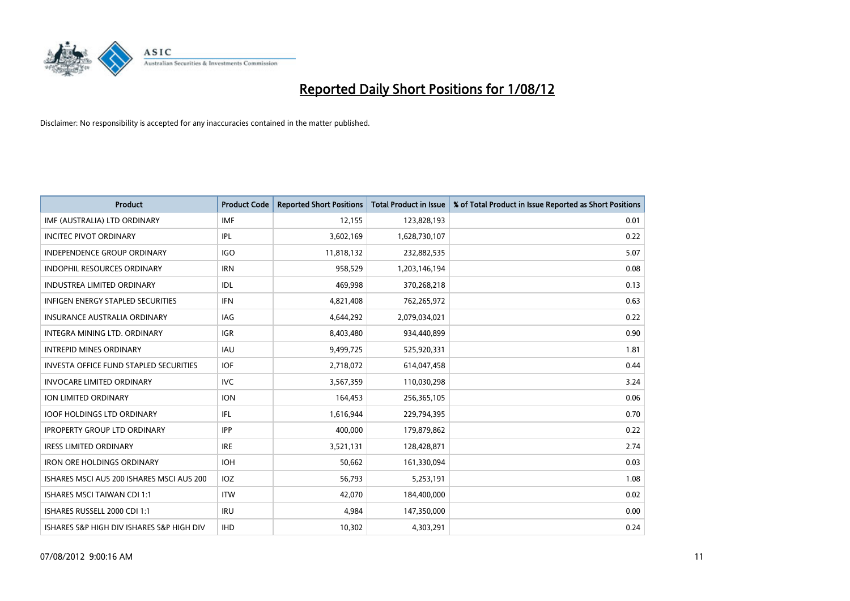

| <b>Product</b>                                | <b>Product Code</b> | <b>Reported Short Positions</b> | <b>Total Product in Issue</b> | % of Total Product in Issue Reported as Short Positions |
|-----------------------------------------------|---------------------|---------------------------------|-------------------------------|---------------------------------------------------------|
| IMF (AUSTRALIA) LTD ORDINARY                  | <b>IMF</b>          | 12,155                          | 123,828,193                   | 0.01                                                    |
| <b>INCITEC PIVOT ORDINARY</b>                 | <b>IPL</b>          | 3,602,169                       | 1,628,730,107                 | 0.22                                                    |
| <b>INDEPENDENCE GROUP ORDINARY</b>            | <b>IGO</b>          | 11,818,132                      | 232,882,535                   | 5.07                                                    |
| INDOPHIL RESOURCES ORDINARY                   | <b>IRN</b>          | 958,529                         | 1,203,146,194                 | 0.08                                                    |
| <b>INDUSTREA LIMITED ORDINARY</b>             | <b>IDL</b>          | 469,998                         | 370,268,218                   | 0.13                                                    |
| <b>INFIGEN ENERGY STAPLED SECURITIES</b>      | <b>IFN</b>          | 4,821,408                       | 762,265,972                   | 0.63                                                    |
| INSURANCE AUSTRALIA ORDINARY                  | IAG                 | 4,644,292                       | 2,079,034,021                 | 0.22                                                    |
| INTEGRA MINING LTD. ORDINARY                  | <b>IGR</b>          | 8,403,480                       | 934,440,899                   | 0.90                                                    |
| <b>INTREPID MINES ORDINARY</b>                | <b>IAU</b>          | 9,499,725                       | 525,920,331                   | 1.81                                                    |
| <b>INVESTA OFFICE FUND STAPLED SECURITIES</b> | <b>IOF</b>          | 2,718,072                       | 614,047,458                   | 0.44                                                    |
| <b>INVOCARE LIMITED ORDINARY</b>              | IVC                 | 3,567,359                       | 110,030,298                   | 3.24                                                    |
| ION LIMITED ORDINARY                          | <b>ION</b>          | 164,453                         | 256,365,105                   | 0.06                                                    |
| <b>IOOF HOLDINGS LTD ORDINARY</b>             | <b>IFL</b>          | 1,616,944                       | 229,794,395                   | 0.70                                                    |
| <b>IPROPERTY GROUP LTD ORDINARY</b>           | <b>IPP</b>          | 400,000                         | 179,879,862                   | 0.22                                                    |
| <b>IRESS LIMITED ORDINARY</b>                 | <b>IRE</b>          | 3,521,131                       | 128,428,871                   | 2.74                                                    |
| <b>IRON ORE HOLDINGS ORDINARY</b>             | <b>IOH</b>          | 50,662                          | 161,330,094                   | 0.03                                                    |
| ISHARES MSCI AUS 200 ISHARES MSCI AUS 200     | <b>IOZ</b>          | 56,793                          | 5,253,191                     | 1.08                                                    |
| <b>ISHARES MSCI TAIWAN CDI 1:1</b>            | <b>ITW</b>          | 42,070                          | 184,400,000                   | 0.02                                                    |
| ISHARES RUSSELL 2000 CDI 1:1                  | <b>IRU</b>          | 4,984                           | 147,350,000                   | 0.00                                                    |
| ISHARES S&P HIGH DIV ISHARES S&P HIGH DIV     | <b>IHD</b>          | 10,302                          | 4,303,291                     | 0.24                                                    |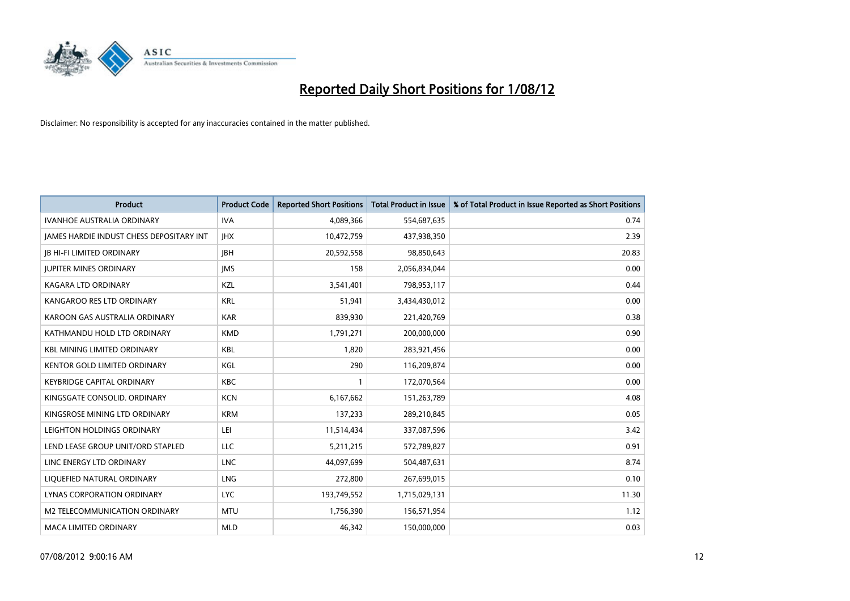

| <b>Product</b>                           | <b>Product Code</b> | <b>Reported Short Positions</b> | <b>Total Product in Issue</b> | % of Total Product in Issue Reported as Short Positions |
|------------------------------------------|---------------------|---------------------------------|-------------------------------|---------------------------------------------------------|
| <b>IVANHOE AUSTRALIA ORDINARY</b>        | <b>IVA</b>          | 4,089,366                       | 554,687,635                   | 0.74                                                    |
| JAMES HARDIE INDUST CHESS DEPOSITARY INT | <b>IHX</b>          | 10,472,759                      | 437,938,350                   | 2.39                                                    |
| <b>IB HI-FI LIMITED ORDINARY</b>         | <b>IBH</b>          | 20,592,558                      | 98,850,643                    | 20.83                                                   |
| <b>JUPITER MINES ORDINARY</b>            | <b>IMS</b>          | 158                             | 2,056,834,044                 | 0.00                                                    |
| <b>KAGARA LTD ORDINARY</b>               | <b>KZL</b>          | 3,541,401                       | 798,953,117                   | 0.44                                                    |
| KANGAROO RES LTD ORDINARY                | <b>KRL</b>          | 51,941                          | 3,434,430,012                 | 0.00                                                    |
| KAROON GAS AUSTRALIA ORDINARY            | <b>KAR</b>          | 839,930                         | 221,420,769                   | 0.38                                                    |
| KATHMANDU HOLD LTD ORDINARY              | <b>KMD</b>          | 1,791,271                       | 200,000,000                   | 0.90                                                    |
| <b>KBL MINING LIMITED ORDINARY</b>       | <b>KBL</b>          | 1,820                           | 283,921,456                   | 0.00                                                    |
| <b>KENTOR GOLD LIMITED ORDINARY</b>      | KGL                 | 290                             | 116,209,874                   | 0.00                                                    |
| KEYBRIDGE CAPITAL ORDINARY               | <b>KBC</b>          |                                 | 172,070,564                   | 0.00                                                    |
| KINGSGATE CONSOLID, ORDINARY             | <b>KCN</b>          | 6,167,662                       | 151,263,789                   | 4.08                                                    |
| KINGSROSE MINING LTD ORDINARY            | <b>KRM</b>          | 137,233                         | 289,210,845                   | 0.05                                                    |
| LEIGHTON HOLDINGS ORDINARY               | LEI                 | 11,514,434                      | 337,087,596                   | 3.42                                                    |
| LEND LEASE GROUP UNIT/ORD STAPLED        | <b>LLC</b>          | 5,211,215                       | 572,789,827                   | 0.91                                                    |
| LINC ENERGY LTD ORDINARY                 | <b>LNC</b>          | 44,097,699                      | 504,487,631                   | 8.74                                                    |
| LIQUEFIED NATURAL ORDINARY               | <b>LNG</b>          | 272,800                         | 267,699,015                   | 0.10                                                    |
| <b>LYNAS CORPORATION ORDINARY</b>        | <b>LYC</b>          | 193,749,552                     | 1,715,029,131                 | 11.30                                                   |
| M2 TELECOMMUNICATION ORDINARY            | <b>MTU</b>          | 1,756,390                       | 156,571,954                   | 1.12                                                    |
| MACA LIMITED ORDINARY                    | <b>MLD</b>          | 46,342                          | 150,000,000                   | 0.03                                                    |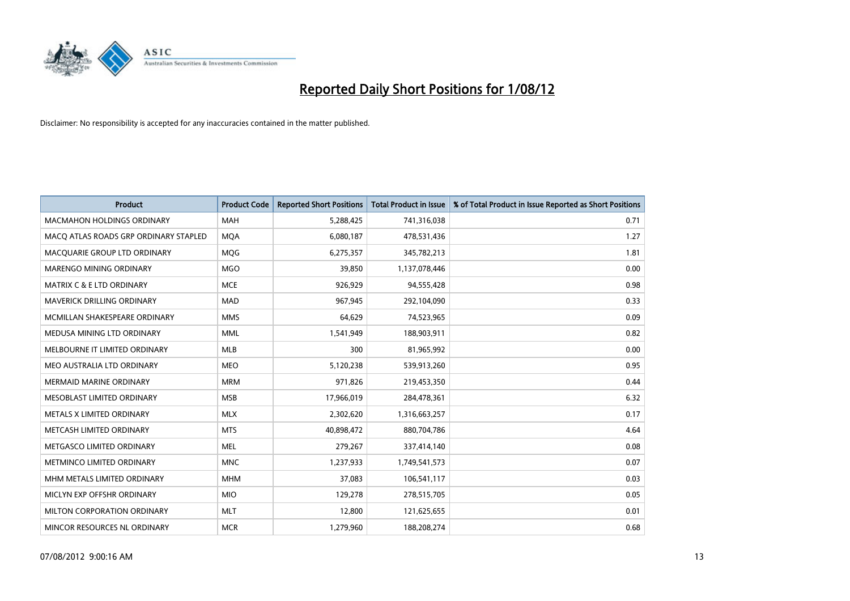

| <b>Product</b>                        | <b>Product Code</b> | <b>Reported Short Positions</b> | <b>Total Product in Issue</b> | % of Total Product in Issue Reported as Short Positions |
|---------------------------------------|---------------------|---------------------------------|-------------------------------|---------------------------------------------------------|
| <b>MACMAHON HOLDINGS ORDINARY</b>     | <b>MAH</b>          | 5,288,425                       | 741,316,038                   | 0.71                                                    |
| MACO ATLAS ROADS GRP ORDINARY STAPLED | <b>MOA</b>          | 6,080,187                       | 478,531,436                   | 1.27                                                    |
| MACQUARIE GROUP LTD ORDINARY          | <b>MOG</b>          | 6,275,357                       | 345,782,213                   | 1.81                                                    |
| <b>MARENGO MINING ORDINARY</b>        | <b>MGO</b>          | 39,850                          | 1,137,078,446                 | 0.00                                                    |
| <b>MATRIX C &amp; E LTD ORDINARY</b>  | <b>MCE</b>          | 926,929                         | 94,555,428                    | 0.98                                                    |
| <b>MAVERICK DRILLING ORDINARY</b>     | <b>MAD</b>          | 967,945                         | 292,104,090                   | 0.33                                                    |
| MCMILLAN SHAKESPEARE ORDINARY         | <b>MMS</b>          | 64,629                          | 74,523,965                    | 0.09                                                    |
| MEDUSA MINING LTD ORDINARY            | <b>MML</b>          | 1,541,949                       | 188,903,911                   | 0.82                                                    |
| MELBOURNE IT LIMITED ORDINARY         | <b>MLB</b>          | 300                             | 81,965,992                    | 0.00                                                    |
| MEO AUSTRALIA LTD ORDINARY            | <b>MEO</b>          | 5,120,238                       | 539,913,260                   | 0.95                                                    |
| MERMAID MARINE ORDINARY               | <b>MRM</b>          | 971,826                         | 219,453,350                   | 0.44                                                    |
| MESOBLAST LIMITED ORDINARY            | <b>MSB</b>          | 17,966,019                      | 284,478,361                   | 6.32                                                    |
| METALS X LIMITED ORDINARY             | <b>MLX</b>          | 2,302,620                       | 1,316,663,257                 | 0.17                                                    |
| METCASH LIMITED ORDINARY              | <b>MTS</b>          | 40,898,472                      | 880,704,786                   | 4.64                                                    |
| METGASCO LIMITED ORDINARY             | <b>MEL</b>          | 279,267                         | 337,414,140                   | 0.08                                                    |
| METMINCO LIMITED ORDINARY             | <b>MNC</b>          | 1,237,933                       | 1,749,541,573                 | 0.07                                                    |
| MHM METALS LIMITED ORDINARY           | <b>MHM</b>          | 37,083                          | 106,541,117                   | 0.03                                                    |
| MICLYN EXP OFFSHR ORDINARY            | <b>MIO</b>          | 129,278                         | 278,515,705                   | 0.05                                                    |
| MILTON CORPORATION ORDINARY           | <b>MLT</b>          | 12,800                          | 121,625,655                   | 0.01                                                    |
| MINCOR RESOURCES NL ORDINARY          | <b>MCR</b>          | 1,279,960                       | 188,208,274                   | 0.68                                                    |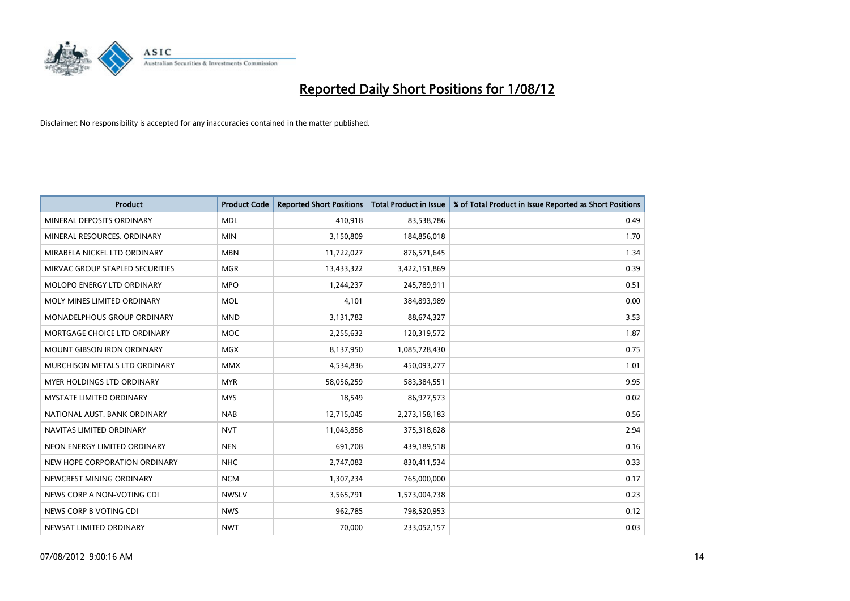

| <b>Product</b>                       | <b>Product Code</b> | <b>Reported Short Positions</b> | <b>Total Product in Issue</b> | % of Total Product in Issue Reported as Short Positions |
|--------------------------------------|---------------------|---------------------------------|-------------------------------|---------------------------------------------------------|
| MINERAL DEPOSITS ORDINARY            | <b>MDL</b>          | 410,918                         | 83,538,786                    | 0.49                                                    |
| MINERAL RESOURCES. ORDINARY          | <b>MIN</b>          | 3,150,809                       | 184,856,018                   | 1.70                                                    |
| MIRABELA NICKEL LTD ORDINARY         | <b>MBN</b>          | 11,722,027                      | 876,571,645                   | 1.34                                                    |
| MIRVAC GROUP STAPLED SECURITIES      | <b>MGR</b>          | 13,433,322                      | 3,422,151,869                 | 0.39                                                    |
| MOLOPO ENERGY LTD ORDINARY           | <b>MPO</b>          | 1,244,237                       | 245,789,911                   | 0.51                                                    |
| MOLY MINES LIMITED ORDINARY          | <b>MOL</b>          | 4,101                           | 384,893,989                   | 0.00                                                    |
| <b>MONADELPHOUS GROUP ORDINARY</b>   | <b>MND</b>          | 3,131,782                       | 88,674,327                    | 3.53                                                    |
| MORTGAGE CHOICE LTD ORDINARY         | <b>MOC</b>          | 2,255,632                       | 120,319,572                   | 1.87                                                    |
| <b>MOUNT GIBSON IRON ORDINARY</b>    | <b>MGX</b>          | 8,137,950                       | 1,085,728,430                 | 0.75                                                    |
| <b>MURCHISON METALS LTD ORDINARY</b> | <b>MMX</b>          | 4,534,836                       | 450,093,277                   | 1.01                                                    |
| MYER HOLDINGS LTD ORDINARY           | <b>MYR</b>          | 58,056,259                      | 583,384,551                   | 9.95                                                    |
| <b>MYSTATE LIMITED ORDINARY</b>      | <b>MYS</b>          | 18,549                          | 86,977,573                    | 0.02                                                    |
| NATIONAL AUST, BANK ORDINARY         | <b>NAB</b>          | 12,715,045                      | 2,273,158,183                 | 0.56                                                    |
| NAVITAS LIMITED ORDINARY             | <b>NVT</b>          | 11,043,858                      | 375,318,628                   | 2.94                                                    |
| NEON ENERGY LIMITED ORDINARY         | <b>NEN</b>          | 691,708                         | 439,189,518                   | 0.16                                                    |
| NEW HOPE CORPORATION ORDINARY        | <b>NHC</b>          | 2,747,082                       | 830,411,534                   | 0.33                                                    |
| NEWCREST MINING ORDINARY             | <b>NCM</b>          | 1,307,234                       | 765,000,000                   | 0.17                                                    |
| NEWS CORP A NON-VOTING CDI           | <b>NWSLV</b>        | 3,565,791                       | 1,573,004,738                 | 0.23                                                    |
| NEWS CORP B VOTING CDI               | <b>NWS</b>          | 962,785                         | 798,520,953                   | 0.12                                                    |
| NEWSAT LIMITED ORDINARY              | <b>NWT</b>          | 70,000                          | 233,052,157                   | 0.03                                                    |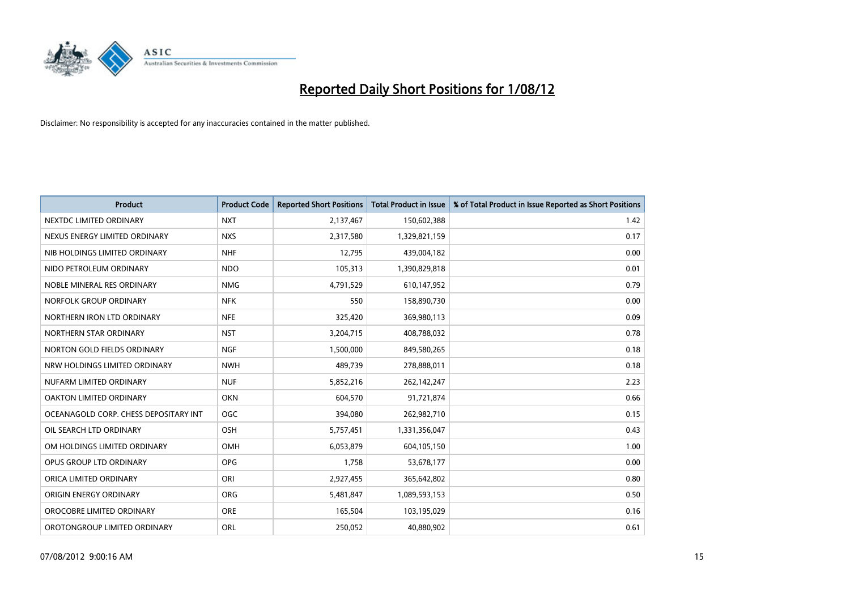

| <b>Product</b>                        | <b>Product Code</b> | <b>Reported Short Positions</b> | <b>Total Product in Issue</b> | % of Total Product in Issue Reported as Short Positions |
|---------------------------------------|---------------------|---------------------------------|-------------------------------|---------------------------------------------------------|
| NEXTDC LIMITED ORDINARY               | <b>NXT</b>          | 2,137,467                       | 150,602,388                   | 1.42                                                    |
| NEXUS ENERGY LIMITED ORDINARY         | <b>NXS</b>          | 2,317,580                       | 1,329,821,159                 | 0.17                                                    |
| NIB HOLDINGS LIMITED ORDINARY         | <b>NHF</b>          | 12,795                          | 439,004,182                   | 0.00                                                    |
| NIDO PETROLEUM ORDINARY               | <b>NDO</b>          | 105,313                         | 1,390,829,818                 | 0.01                                                    |
| NOBLE MINERAL RES ORDINARY            | <b>NMG</b>          | 4,791,529                       | 610,147,952                   | 0.79                                                    |
| NORFOLK GROUP ORDINARY                | <b>NFK</b>          | 550                             | 158,890,730                   | 0.00                                                    |
| NORTHERN IRON LTD ORDINARY            | <b>NFE</b>          | 325,420                         | 369,980,113                   | 0.09                                                    |
| NORTHERN STAR ORDINARY                | <b>NST</b>          | 3,204,715                       | 408,788,032                   | 0.78                                                    |
| NORTON GOLD FIELDS ORDINARY           | <b>NGF</b>          | 1,500,000                       | 849,580,265                   | 0.18                                                    |
| NRW HOLDINGS LIMITED ORDINARY         | <b>NWH</b>          | 489,739                         | 278,888,011                   | 0.18                                                    |
| NUFARM LIMITED ORDINARY               | <b>NUF</b>          | 5,852,216                       | 262,142,247                   | 2.23                                                    |
| OAKTON LIMITED ORDINARY               | <b>OKN</b>          | 604,570                         | 91,721,874                    | 0.66                                                    |
| OCEANAGOLD CORP. CHESS DEPOSITARY INT | <b>OGC</b>          | 394,080                         | 262,982,710                   | 0.15                                                    |
| OIL SEARCH LTD ORDINARY               | <b>OSH</b>          | 5,757,451                       | 1,331,356,047                 | 0.43                                                    |
| OM HOLDINGS LIMITED ORDINARY          | <b>OMH</b>          | 6,053,879                       | 604,105,150                   | 1.00                                                    |
| OPUS GROUP LTD ORDINARY               | <b>OPG</b>          | 1,758                           | 53,678,177                    | 0.00                                                    |
| ORICA LIMITED ORDINARY                | ORI                 | 2,927,455                       | 365,642,802                   | 0.80                                                    |
| ORIGIN ENERGY ORDINARY                | <b>ORG</b>          | 5,481,847                       | 1,089,593,153                 | 0.50                                                    |
| OROCOBRE LIMITED ORDINARY             | <b>ORE</b>          | 165,504                         | 103,195,029                   | 0.16                                                    |
| OROTONGROUP LIMITED ORDINARY          | ORL                 | 250,052                         | 40,880,902                    | 0.61                                                    |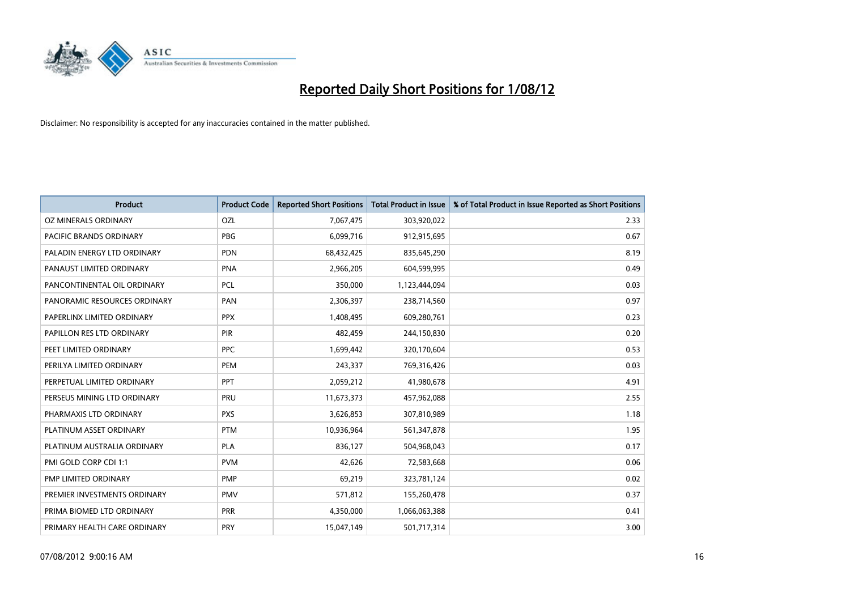

| <b>Product</b>               | <b>Product Code</b> | <b>Reported Short Positions</b> | <b>Total Product in Issue</b> | % of Total Product in Issue Reported as Short Positions |
|------------------------------|---------------------|---------------------------------|-------------------------------|---------------------------------------------------------|
| OZ MINERALS ORDINARY         | OZL                 | 7,067,475                       | 303,920,022                   | 2.33                                                    |
| PACIFIC BRANDS ORDINARY      | <b>PBG</b>          | 6,099,716                       | 912,915,695                   | 0.67                                                    |
| PALADIN ENERGY LTD ORDINARY  | <b>PDN</b>          | 68,432,425                      | 835,645,290                   | 8.19                                                    |
| PANAUST LIMITED ORDINARY     | <b>PNA</b>          | 2,966,205                       | 604,599,995                   | 0.49                                                    |
| PANCONTINENTAL OIL ORDINARY  | PCL                 | 350.000                         | 1,123,444,094                 | 0.03                                                    |
| PANORAMIC RESOURCES ORDINARY | PAN                 | 2,306,397                       | 238,714,560                   | 0.97                                                    |
| PAPERLINX LIMITED ORDINARY   | <b>PPX</b>          | 1,408,495                       | 609,280,761                   | 0.23                                                    |
| PAPILLON RES LTD ORDINARY    | PIR                 | 482,459                         | 244,150,830                   | 0.20                                                    |
| PEET LIMITED ORDINARY        | <b>PPC</b>          | 1,699,442                       | 320,170,604                   | 0.53                                                    |
| PERILYA LIMITED ORDINARY     | PEM                 | 243,337                         | 769,316,426                   | 0.03                                                    |
| PERPETUAL LIMITED ORDINARY   | PPT                 | 2,059,212                       | 41,980,678                    | 4.91                                                    |
| PERSEUS MINING LTD ORDINARY  | PRU                 | 11,673,373                      | 457,962,088                   | 2.55                                                    |
| PHARMAXIS LTD ORDINARY       | <b>PXS</b>          | 3,626,853                       | 307,810,989                   | 1.18                                                    |
| PLATINUM ASSET ORDINARY      | <b>PTM</b>          | 10,936,964                      | 561,347,878                   | 1.95                                                    |
| PLATINUM AUSTRALIA ORDINARY  | <b>PLA</b>          | 836,127                         | 504,968,043                   | 0.17                                                    |
| PMI GOLD CORP CDI 1:1        | <b>PVM</b>          | 42,626                          | 72,583,668                    | 0.06                                                    |
| PMP LIMITED ORDINARY         | <b>PMP</b>          | 69,219                          | 323,781,124                   | 0.02                                                    |
| PREMIER INVESTMENTS ORDINARY | <b>PMV</b>          | 571,812                         | 155,260,478                   | 0.37                                                    |
| PRIMA BIOMED LTD ORDINARY    | <b>PRR</b>          | 4,350,000                       | 1,066,063,388                 | 0.41                                                    |
| PRIMARY HEALTH CARE ORDINARY | PRY                 | 15,047,149                      | 501,717,314                   | 3.00                                                    |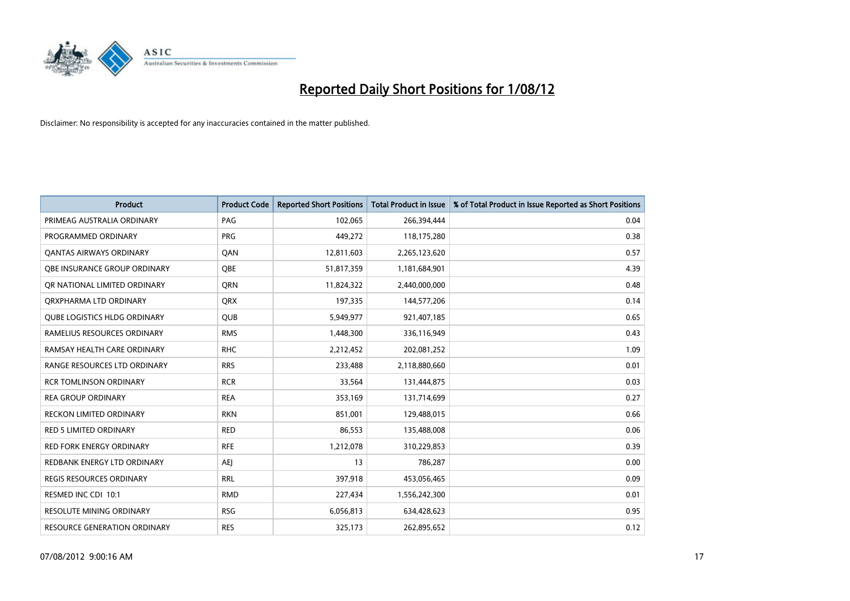

| <b>Product</b>                      | <b>Product Code</b> | <b>Reported Short Positions</b> | <b>Total Product in Issue</b> | % of Total Product in Issue Reported as Short Positions |
|-------------------------------------|---------------------|---------------------------------|-------------------------------|---------------------------------------------------------|
| PRIMEAG AUSTRALIA ORDINARY          | PAG                 | 102,065                         | 266,394,444                   | 0.04                                                    |
| PROGRAMMED ORDINARY                 | <b>PRG</b>          | 449,272                         | 118,175,280                   | 0.38                                                    |
| <b>QANTAS AIRWAYS ORDINARY</b>      | QAN                 | 12,811,603                      | 2,265,123,620                 | 0.57                                                    |
| <b>OBE INSURANCE GROUP ORDINARY</b> | <b>OBE</b>          | 51,817,359                      | 1,181,684,901                 | 4.39                                                    |
| OR NATIONAL LIMITED ORDINARY        | <b>ORN</b>          | 11,824,322                      | 2,440,000,000                 | 0.48                                                    |
| ORXPHARMA LTD ORDINARY              | <b>ORX</b>          | 197,335                         | 144,577,206                   | 0.14                                                    |
| <b>QUBE LOGISTICS HLDG ORDINARY</b> | <b>QUB</b>          | 5,949,977                       | 921,407,185                   | 0.65                                                    |
| RAMELIUS RESOURCES ORDINARY         | <b>RMS</b>          | 1,448,300                       | 336,116,949                   | 0.43                                                    |
| RAMSAY HEALTH CARE ORDINARY         | <b>RHC</b>          | 2,212,452                       | 202,081,252                   | 1.09                                                    |
| RANGE RESOURCES LTD ORDINARY        | <b>RRS</b>          | 233,488                         | 2,118,880,660                 | 0.01                                                    |
| <b>RCR TOMLINSON ORDINARY</b>       | <b>RCR</b>          | 33,564                          | 131,444,875                   | 0.03                                                    |
| <b>REA GROUP ORDINARY</b>           | <b>REA</b>          | 353,169                         | 131,714,699                   | 0.27                                                    |
| <b>RECKON LIMITED ORDINARY</b>      | <b>RKN</b>          | 851,001                         | 129,488,015                   | 0.66                                                    |
| <b>RED 5 LIMITED ORDINARY</b>       | <b>RED</b>          | 86,553                          | 135,488,008                   | 0.06                                                    |
| <b>RED FORK ENERGY ORDINARY</b>     | <b>RFE</b>          | 1,212,078                       | 310,229,853                   | 0.39                                                    |
| REDBANK ENERGY LTD ORDINARY         | AEJ                 | 13                              | 786,287                       | 0.00                                                    |
| REGIS RESOURCES ORDINARY            | <b>RRL</b>          | 397,918                         | 453,056,465                   | 0.09                                                    |
| RESMED INC CDI 10:1                 | <b>RMD</b>          | 227,434                         | 1,556,242,300                 | 0.01                                                    |
| <b>RESOLUTE MINING ORDINARY</b>     | <b>RSG</b>          | 6,056,813                       | 634,428,623                   | 0.95                                                    |
| <b>RESOURCE GENERATION ORDINARY</b> | <b>RES</b>          | 325,173                         | 262,895,652                   | 0.12                                                    |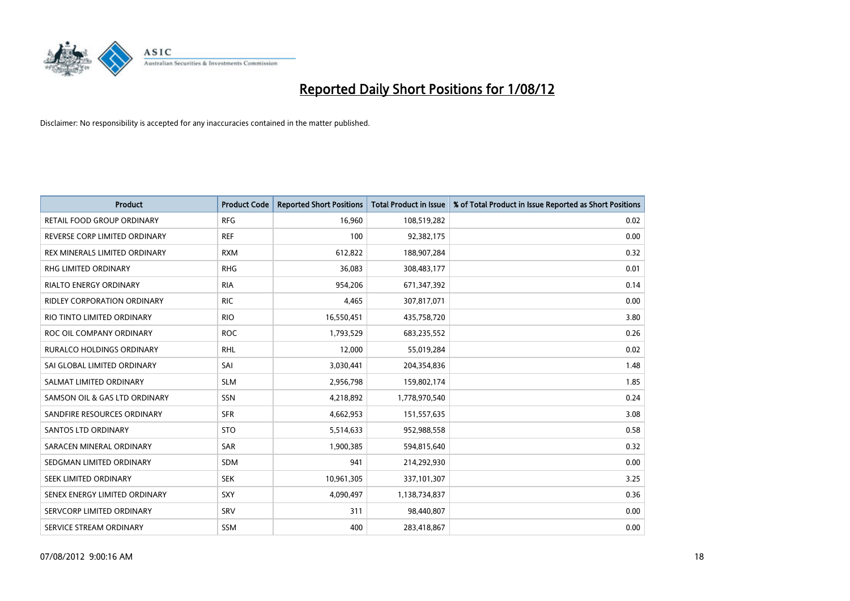

| <b>Product</b>                     | <b>Product Code</b> | <b>Reported Short Positions</b> | <b>Total Product in Issue</b> | % of Total Product in Issue Reported as Short Positions |
|------------------------------------|---------------------|---------------------------------|-------------------------------|---------------------------------------------------------|
| RETAIL FOOD GROUP ORDINARY         | <b>RFG</b>          | 16,960                          | 108,519,282                   | 0.02                                                    |
| REVERSE CORP LIMITED ORDINARY      | <b>REF</b>          | 100                             | 92,382,175                    | 0.00                                                    |
| REX MINERALS LIMITED ORDINARY      | <b>RXM</b>          | 612,822                         | 188,907,284                   | 0.32                                                    |
| RHG LIMITED ORDINARY               | <b>RHG</b>          | 36,083                          | 308,483,177                   | 0.01                                                    |
| <b>RIALTO ENERGY ORDINARY</b>      | <b>RIA</b>          | 954,206                         | 671,347,392                   | 0.14                                                    |
| <b>RIDLEY CORPORATION ORDINARY</b> | <b>RIC</b>          | 4,465                           | 307,817,071                   | 0.00                                                    |
| RIO TINTO LIMITED ORDINARY         | <b>RIO</b>          | 16,550,451                      | 435,758,720                   | 3.80                                                    |
| ROC OIL COMPANY ORDINARY           | <b>ROC</b>          | 1,793,529                       | 683,235,552                   | 0.26                                                    |
| <b>RURALCO HOLDINGS ORDINARY</b>   | <b>RHL</b>          | 12,000                          | 55,019,284                    | 0.02                                                    |
| SAI GLOBAL LIMITED ORDINARY        | SAI                 | 3,030,441                       | 204,354,836                   | 1.48                                                    |
| SALMAT LIMITED ORDINARY            | <b>SLM</b>          | 2,956,798                       | 159,802,174                   | 1.85                                                    |
| SAMSON OIL & GAS LTD ORDINARY      | SSN                 | 4,218,892                       | 1,778,970,540                 | 0.24                                                    |
| SANDFIRE RESOURCES ORDINARY        | <b>SFR</b>          | 4,662,953                       | 151,557,635                   | 3.08                                                    |
| <b>SANTOS LTD ORDINARY</b>         | <b>STO</b>          | 5,514,633                       | 952,988,558                   | 0.58                                                    |
| SARACEN MINERAL ORDINARY           | SAR                 | 1,900,385                       | 594,815,640                   | 0.32                                                    |
| SEDGMAN LIMITED ORDINARY           | <b>SDM</b>          | 941                             | 214,292,930                   | 0.00                                                    |
| SEEK LIMITED ORDINARY              | <b>SEK</b>          | 10,961,305                      | 337,101,307                   | 3.25                                                    |
| SENEX ENERGY LIMITED ORDINARY      | <b>SXY</b>          | 4,090,497                       | 1,138,734,837                 | 0.36                                                    |
| SERVCORP LIMITED ORDINARY          | SRV                 | 311                             | 98,440,807                    | 0.00                                                    |
| SERVICE STREAM ORDINARY            | <b>SSM</b>          | 400                             | 283,418,867                   | 0.00                                                    |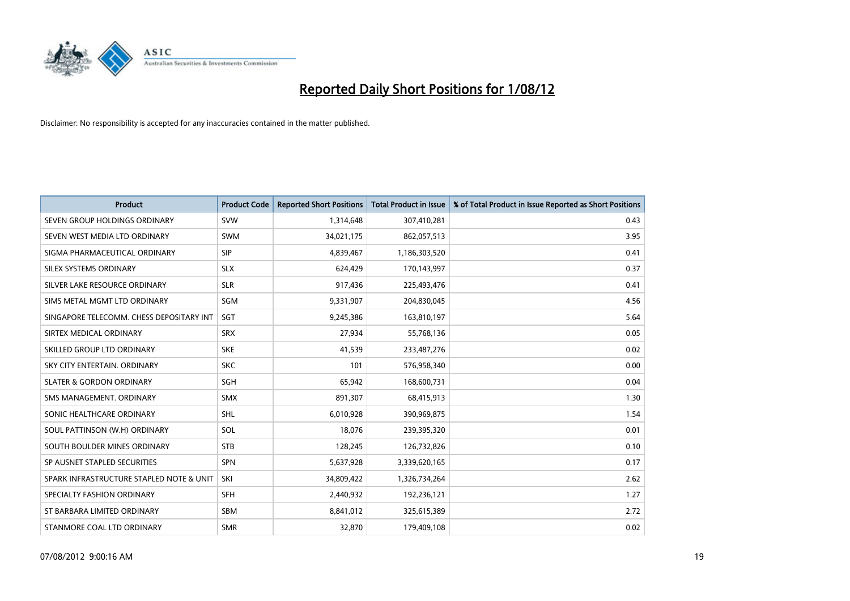

| <b>Product</b>                           | <b>Product Code</b> | <b>Reported Short Positions</b> | <b>Total Product in Issue</b> | % of Total Product in Issue Reported as Short Positions |
|------------------------------------------|---------------------|---------------------------------|-------------------------------|---------------------------------------------------------|
| SEVEN GROUP HOLDINGS ORDINARY            | <b>SVW</b>          | 1,314,648                       | 307,410,281                   | 0.43                                                    |
| SEVEN WEST MEDIA LTD ORDINARY            | <b>SWM</b>          | 34,021,175                      | 862,057,513                   | 3.95                                                    |
| SIGMA PHARMACEUTICAL ORDINARY            | <b>SIP</b>          | 4,839,467                       | 1,186,303,520                 | 0.41                                                    |
| SILEX SYSTEMS ORDINARY                   | <b>SLX</b>          | 624,429                         | 170,143,997                   | 0.37                                                    |
| SILVER LAKE RESOURCE ORDINARY            | <b>SLR</b>          | 917,436                         | 225,493,476                   | 0.41                                                    |
| SIMS METAL MGMT LTD ORDINARY             | SGM                 | 9,331,907                       | 204,830,045                   | 4.56                                                    |
| SINGAPORE TELECOMM. CHESS DEPOSITARY INT | <b>SGT</b>          | 9,245,386                       | 163,810,197                   | 5.64                                                    |
| SIRTEX MEDICAL ORDINARY                  | <b>SRX</b>          | 27,934                          | 55,768,136                    | 0.05                                                    |
| SKILLED GROUP LTD ORDINARY               | <b>SKE</b>          | 41,539                          | 233,487,276                   | 0.02                                                    |
| SKY CITY ENTERTAIN, ORDINARY             | <b>SKC</b>          | 101                             | 576,958,340                   | 0.00                                                    |
| <b>SLATER &amp; GORDON ORDINARY</b>      | <b>SGH</b>          | 65,942                          | 168,600,731                   | 0.04                                                    |
| SMS MANAGEMENT, ORDINARY                 | <b>SMX</b>          | 891,307                         | 68,415,913                    | 1.30                                                    |
| SONIC HEALTHCARE ORDINARY                | <b>SHL</b>          | 6,010,928                       | 390,969,875                   | 1.54                                                    |
| SOUL PATTINSON (W.H) ORDINARY            | SOL                 | 18,076                          | 239,395,320                   | 0.01                                                    |
| SOUTH BOULDER MINES ORDINARY             | <b>STB</b>          | 128,245                         | 126,732,826                   | 0.10                                                    |
| SP AUSNET STAPLED SECURITIES             | <b>SPN</b>          | 5,637,928                       | 3,339,620,165                 | 0.17                                                    |
| SPARK INFRASTRUCTURE STAPLED NOTE & UNIT | SKI                 | 34,809,422                      | 1,326,734,264                 | 2.62                                                    |
| SPECIALTY FASHION ORDINARY               | <b>SFH</b>          | 2,440,932                       | 192,236,121                   | 1.27                                                    |
| ST BARBARA LIMITED ORDINARY              | <b>SBM</b>          | 8,841,012                       | 325,615,389                   | 2.72                                                    |
| STANMORE COAL LTD ORDINARY               | <b>SMR</b>          | 32,870                          | 179,409,108                   | 0.02                                                    |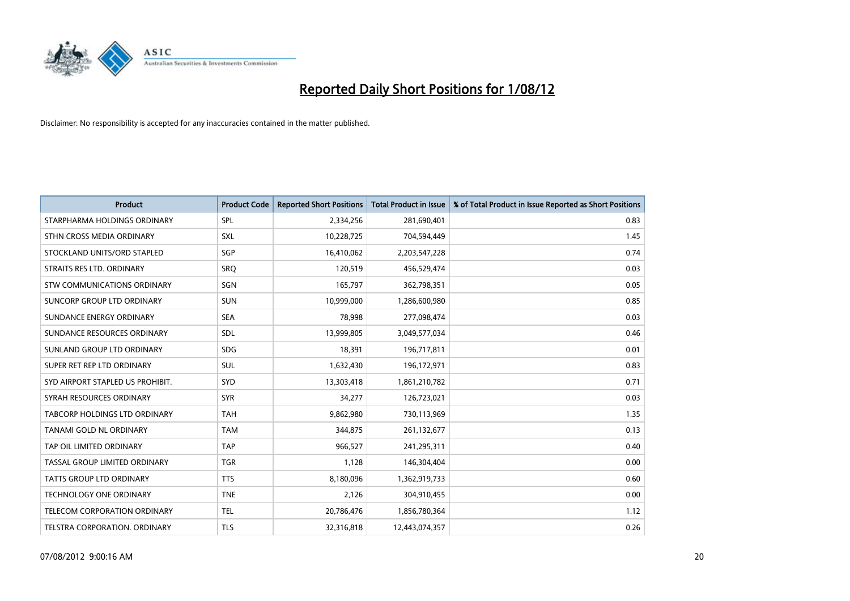

| <b>Product</b>                       | <b>Product Code</b> | <b>Reported Short Positions</b> | <b>Total Product in Issue</b> | % of Total Product in Issue Reported as Short Positions |
|--------------------------------------|---------------------|---------------------------------|-------------------------------|---------------------------------------------------------|
| STARPHARMA HOLDINGS ORDINARY         | SPL                 | 2,334,256                       | 281,690,401                   | 0.83                                                    |
| STHN CROSS MEDIA ORDINARY            | SXL                 | 10,228,725                      | 704,594,449                   | 1.45                                                    |
| STOCKLAND UNITS/ORD STAPLED          | SGP                 | 16,410,062                      | 2,203,547,228                 | 0.74                                                    |
| STRAITS RES LTD. ORDINARY            | <b>SRO</b>          | 120,519                         | 456,529,474                   | 0.03                                                    |
| STW COMMUNICATIONS ORDINARY          | SGN                 | 165,797                         | 362,798,351                   | 0.05                                                    |
| SUNCORP GROUP LTD ORDINARY           | <b>SUN</b>          | 10,999,000                      | 1,286,600,980                 | 0.85                                                    |
| SUNDANCE ENERGY ORDINARY             | <b>SEA</b>          | 78,998                          | 277,098,474                   | 0.03                                                    |
| SUNDANCE RESOURCES ORDINARY          | <b>SDL</b>          | 13,999,805                      | 3,049,577,034                 | 0.46                                                    |
| SUNLAND GROUP LTD ORDINARY           | <b>SDG</b>          | 18,391                          | 196,717,811                   | 0.01                                                    |
| SUPER RET REP LTD ORDINARY           | <b>SUL</b>          | 1,632,430                       | 196,172,971                   | 0.83                                                    |
| SYD AIRPORT STAPLED US PROHIBIT.     | SYD                 | 13,303,418                      | 1,861,210,782                 | 0.71                                                    |
| SYRAH RESOURCES ORDINARY             | <b>SYR</b>          | 34,277                          | 126,723,021                   | 0.03                                                    |
| TABCORP HOLDINGS LTD ORDINARY        | <b>TAH</b>          | 9,862,980                       | 730,113,969                   | 1.35                                                    |
| TANAMI GOLD NL ORDINARY              | <b>TAM</b>          | 344,875                         | 261,132,677                   | 0.13                                                    |
| TAP OIL LIMITED ORDINARY             | <b>TAP</b>          | 966,527                         | 241,295,311                   | 0.40                                                    |
| TASSAL GROUP LIMITED ORDINARY        | <b>TGR</b>          | 1,128                           | 146,304,404                   | 0.00                                                    |
| <b>TATTS GROUP LTD ORDINARY</b>      | <b>TTS</b>          | 8,180,096                       | 1,362,919,733                 | 0.60                                                    |
| TECHNOLOGY ONE ORDINARY              | <b>TNE</b>          | 2,126                           | 304,910,455                   | 0.00                                                    |
| <b>TELECOM CORPORATION ORDINARY</b>  | <b>TEL</b>          | 20,786,476                      | 1,856,780,364                 | 1.12                                                    |
| <b>TELSTRA CORPORATION, ORDINARY</b> | <b>TLS</b>          | 32,316,818                      | 12,443,074,357                | 0.26                                                    |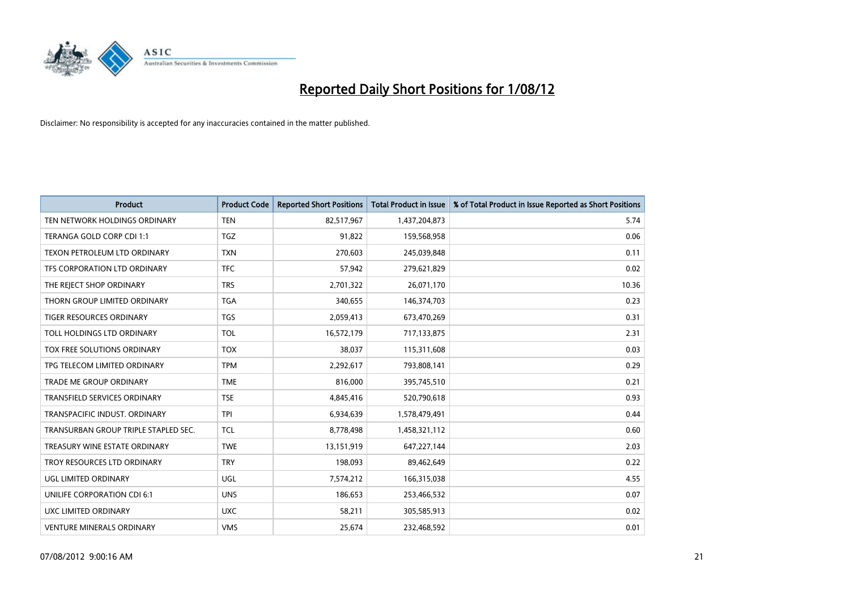

| <b>Product</b>                       | <b>Product Code</b> | <b>Reported Short Positions</b> | <b>Total Product in Issue</b> | % of Total Product in Issue Reported as Short Positions |
|--------------------------------------|---------------------|---------------------------------|-------------------------------|---------------------------------------------------------|
| TEN NETWORK HOLDINGS ORDINARY        | <b>TEN</b>          | 82,517,967                      | 1,437,204,873                 | 5.74                                                    |
| TERANGA GOLD CORP CDI 1:1            | <b>TGZ</b>          | 91,822                          | 159,568,958                   | 0.06                                                    |
| TEXON PETROLEUM LTD ORDINARY         | <b>TXN</b>          | 270,603                         | 245,039,848                   | 0.11                                                    |
| TFS CORPORATION LTD ORDINARY         | <b>TFC</b>          | 57,942                          | 279,621,829                   | 0.02                                                    |
| THE REJECT SHOP ORDINARY             | <b>TRS</b>          | 2,701,322                       | 26,071,170                    | 10.36                                                   |
| THORN GROUP LIMITED ORDINARY         | <b>TGA</b>          | 340,655                         | 146,374,703                   | 0.23                                                    |
| <b>TIGER RESOURCES ORDINARY</b>      | <b>TGS</b>          | 2,059,413                       | 673,470,269                   | 0.31                                                    |
| TOLL HOLDINGS LTD ORDINARY           | <b>TOL</b>          | 16,572,179                      | 717,133,875                   | 2.31                                                    |
| TOX FREE SOLUTIONS ORDINARY          | <b>TOX</b>          | 38,037                          | 115,311,608                   | 0.03                                                    |
| TPG TELECOM LIMITED ORDINARY         | <b>TPM</b>          | 2,292,617                       | 793,808,141                   | 0.29                                                    |
| <b>TRADE ME GROUP ORDINARY</b>       | <b>TME</b>          | 816,000                         | 395,745,510                   | 0.21                                                    |
| <b>TRANSFIELD SERVICES ORDINARY</b>  | <b>TSE</b>          | 4,845,416                       | 520,790,618                   | 0.93                                                    |
| TRANSPACIFIC INDUST, ORDINARY        | <b>TPI</b>          | 6,934,639                       | 1,578,479,491                 | 0.44                                                    |
| TRANSURBAN GROUP TRIPLE STAPLED SEC. | <b>TCL</b>          | 8,778,498                       | 1,458,321,112                 | 0.60                                                    |
| TREASURY WINE ESTATE ORDINARY        | <b>TWE</b>          | 13,151,919                      | 647,227,144                   | 2.03                                                    |
| TROY RESOURCES LTD ORDINARY          | <b>TRY</b>          | 198,093                         | 89,462,649                    | 0.22                                                    |
| UGL LIMITED ORDINARY                 | UGL                 | 7,574,212                       | 166,315,038                   | 4.55                                                    |
| UNILIFE CORPORATION CDI 6:1          | <b>UNS</b>          | 186,653                         | 253,466,532                   | 0.07                                                    |
| UXC LIMITED ORDINARY                 | <b>UXC</b>          | 58,211                          | 305,585,913                   | 0.02                                                    |
| <b>VENTURE MINERALS ORDINARY</b>     | <b>VMS</b>          | 25,674                          | 232,468,592                   | 0.01                                                    |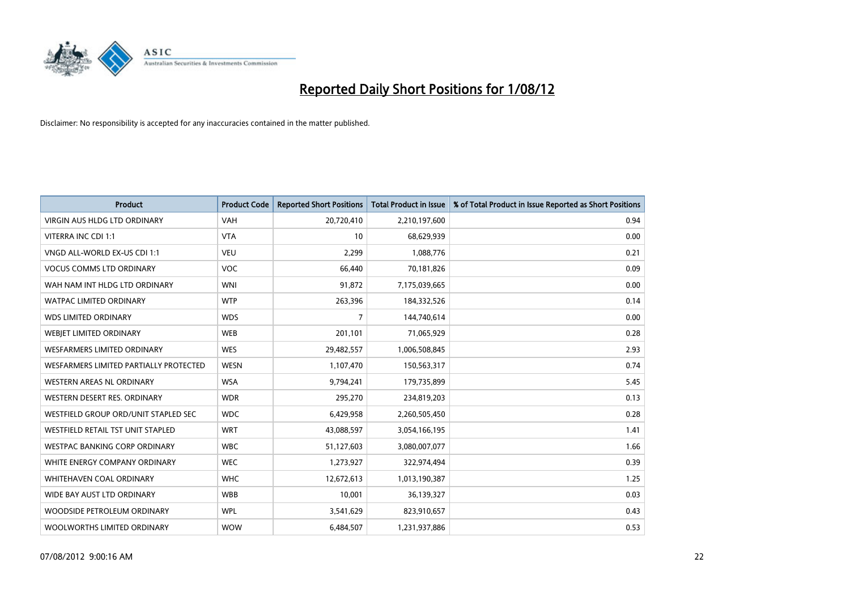

| <b>Product</b>                           | <b>Product Code</b> | <b>Reported Short Positions</b> | <b>Total Product in Issue</b> | % of Total Product in Issue Reported as Short Positions |
|------------------------------------------|---------------------|---------------------------------|-------------------------------|---------------------------------------------------------|
| VIRGIN AUS HLDG LTD ORDINARY             | <b>VAH</b>          | 20,720,410                      | 2,210,197,600                 | 0.94                                                    |
| VITERRA INC CDI 1:1                      | <b>VTA</b>          | 10                              | 68,629,939                    | 0.00                                                    |
| VNGD ALL-WORLD EX-US CDI 1:1             | <b>VEU</b>          | 2,299                           | 1,088,776                     | 0.21                                                    |
| <b>VOCUS COMMS LTD ORDINARY</b>          | <b>VOC</b>          | 66,440                          | 70,181,826                    | 0.09                                                    |
| WAH NAM INT HLDG LTD ORDINARY            | <b>WNI</b>          | 91,872                          | 7,175,039,665                 | 0.00                                                    |
| <b>WATPAC LIMITED ORDINARY</b>           | <b>WTP</b>          | 263,396                         | 184,332,526                   | 0.14                                                    |
| <b>WDS LIMITED ORDINARY</b>              | <b>WDS</b>          | 7                               | 144,740,614                   | 0.00                                                    |
| WEBIET LIMITED ORDINARY                  | <b>WEB</b>          | 201,101                         | 71,065,929                    | 0.28                                                    |
| <b>WESFARMERS LIMITED ORDINARY</b>       | <b>WES</b>          | 29,482,557                      | 1,006,508,845                 | 2.93                                                    |
| WESFARMERS LIMITED PARTIALLY PROTECTED   | <b>WESN</b>         | 1,107,470                       | 150,563,317                   | 0.74                                                    |
| WESTERN AREAS NL ORDINARY                | <b>WSA</b>          | 9,794,241                       | 179,735,899                   | 5.45                                                    |
| WESTERN DESERT RES. ORDINARY             | <b>WDR</b>          | 295,270                         | 234,819,203                   | 0.13                                                    |
| WESTFIELD GROUP ORD/UNIT STAPLED SEC     | <b>WDC</b>          | 6,429,958                       | 2,260,505,450                 | 0.28                                                    |
| <b>WESTFIELD RETAIL TST UNIT STAPLED</b> | <b>WRT</b>          | 43,088,597                      | 3,054,166,195                 | 1.41                                                    |
| <b>WESTPAC BANKING CORP ORDINARY</b>     | <b>WBC</b>          | 51,127,603                      | 3,080,007,077                 | 1.66                                                    |
| WHITE ENERGY COMPANY ORDINARY            | <b>WEC</b>          | 1,273,927                       | 322,974,494                   | 0.39                                                    |
| WHITEHAVEN COAL ORDINARY                 | <b>WHC</b>          | 12,672,613                      | 1,013,190,387                 | 1.25                                                    |
| WIDE BAY AUST LTD ORDINARY               | <b>WBB</b>          | 10,001                          | 36,139,327                    | 0.03                                                    |
| WOODSIDE PETROLEUM ORDINARY              | <b>WPL</b>          | 3,541,629                       | 823,910,657                   | 0.43                                                    |
| WOOLWORTHS LIMITED ORDINARY              | <b>WOW</b>          | 6,484,507                       | 1,231,937,886                 | 0.53                                                    |